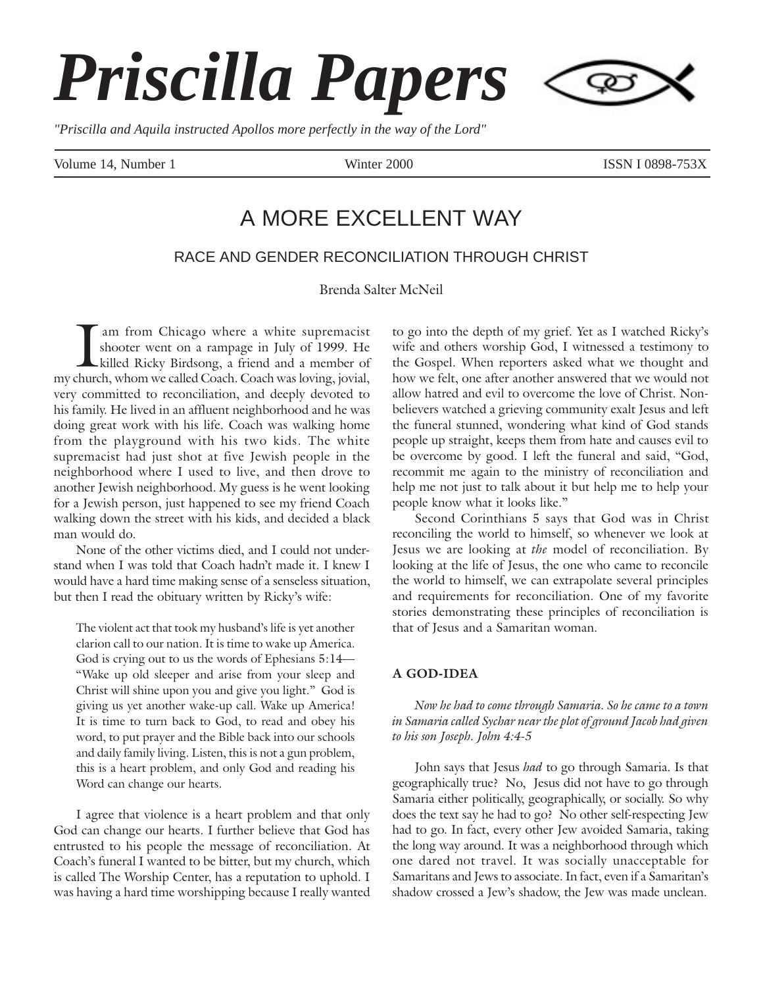*Priscilla Papers*



*"Priscilla and Aquila instructed Apollos more perfectly in the way of the Lord"*

Volume 14, Number 1 Winter 2000 ISSN I 0898-753X

# A MORE EXCELLENT WAY

#### RACE AND GENDER RECONCILIATION THROUGH CHRIST

Brenda Salter McNeil

I am from Chicago where a white supremacist<br>shooter went on a rampage in July of 1999. He<br>killed Ricky Birdsong, a friend and a member of<br>my church, whom we called Coach. Coach was loving, jovial, am from Chicago where a white supremacist shooter went on a rampage in July of 1999. He killed Ricky Birdsong, a friend and a member of very committed to reconciliation, and deeply devoted to his family. He lived in an affluent neighborhood and he was doing great work with his life. Coach was walking home from the playground with his two kids. The white supremacist had just shot at five Jewish people in the neighborhood where I used to live, and then drove to another Jewish neighborhood. My guess is he went looking for a Jewish person, just happened to see my friend Coach walking down the street with his kids, and decided a black man would do.

None of the other victims died, and I could not understand when I was told that Coach hadn't made it. I knew I would have a hard time making sense of a senseless situation, but then I read the obituary written by Ricky's wife:

The violent act that took my husband's life is yet another clarion call to our nation. It is time to wake up America. God is crying out to us the words of Ephesians 5:14— "Wake up old sleeper and arise from your sleep and Christ will shine upon you and give you light." God is giving us yet another wake-up call. Wake up America! It is time to turn back to God, to read and obey his word, to put prayer and the Bible back into our schools and daily family living. Listen, this is not a gun problem, this is a heart problem, and only God and reading his Word can change our hearts.

I agree that violence is a heart problem and that only God can change our hearts. I further believe that God has entrusted to his people the message of reconciliation. At Coach's funeral I wanted to be bitter, but my church, which is called The Worship Center, has a reputation to uphold. I was having a hard time worshipping because I really wanted

to go into the depth of my grief. Yet as I watched Ricky's wife and others worship God, I witnessed a testimony to the Gospel. When reporters asked what we thought and how we felt, one after another answered that we would not allow hatred and evil to overcome the love of Christ. Nonbelievers watched a grieving community exalt Jesus and left the funeral stunned, wondering what kind of God stands people up straight, keeps them from hate and causes evil to be overcome by good. I left the funeral and said, "God, recommit me again to the ministry of reconciliation and help me not just to talk about it but help me to help your people know what it looks like."

Second Corinthians 5 says that God was in Christ reconciling the world to himself, so whenever we look at Jesus we are looking at *the* model of reconciliation. By looking at the life of Jesus, the one who came to reconcile the world to himself, we can extrapolate several principles and requirements for reconciliation. One of my favorite stories demonstrating these principles of reconciliation is that of Jesus and a Samaritan woman.

#### **A GOD-IDEA**

*Now he had to come through Samaria. So he came to a town in Samaria called Sychar near the plot of ground Jacob had given to his son Joseph. John 4:4-5*

John says that Jesus *had* to go through Samaria. Is that geographically true? No, Jesus did not have to go through Samaria either politically, geographically, or socially. So why does the text say he had to go? No other self-respecting Jew had to go. In fact, every other Jew avoided Samaria, taking the long way around. It was a neighborhood through which one dared not travel. It was socially unacceptable for Samaritans and Jews to associate. In fact, even if a Samaritan's shadow crossed a Jew's shadow, the Jew was made unclean.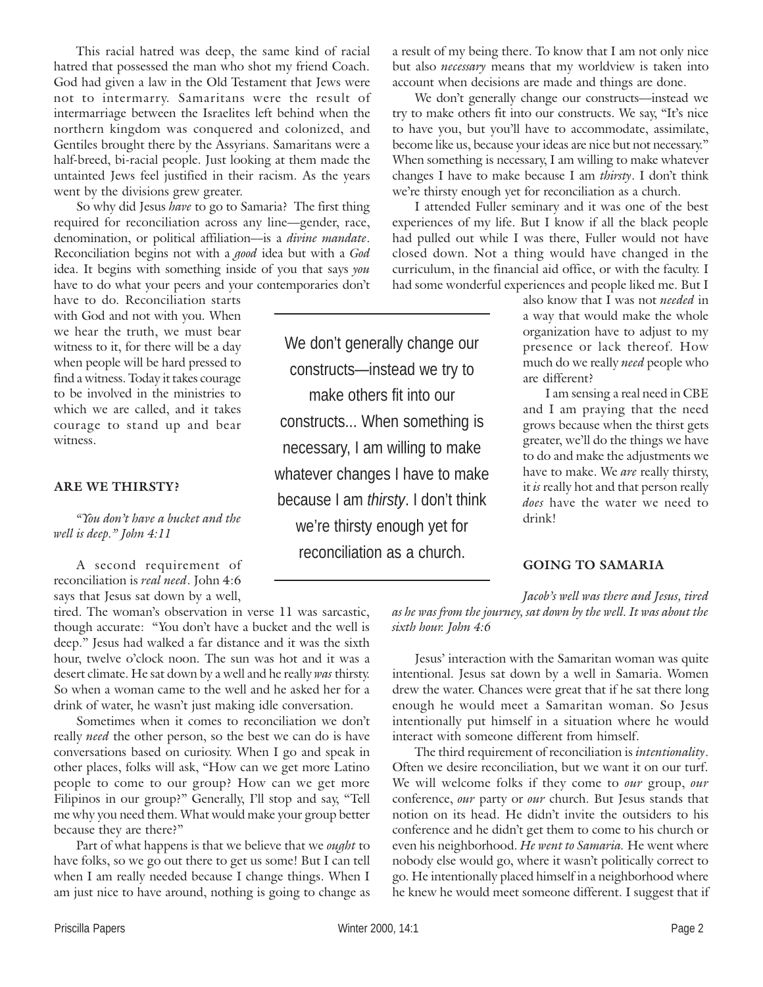This racial hatred was deep, the same kind of racial hatred that possessed the man who shot my friend Coach. God had given a law in the Old Testament that Jews were not to intermarry. Samaritans were the result of intermarriage between the Israelites left behind when the northern kingdom was conquered and colonized, and Gentiles brought there by the Assyrians. Samaritans were a half-breed, bi-racial people. Just looking at them made the untainted Jews feel justified in their racism. As the years went by the divisions grew greater.

So why did Jesus *have* to go to Samaria? The first thing required for reconciliation across any line—gender, race, denomination, or political affiliation—is a *divine mandate*. Reconciliation begins not with a *good* idea but with a *God* idea. It begins with something inside of you that says *you* have to do what your peers and your contemporaries don't

have to do. Reconciliation starts with God and not with you. When we hear the truth, we must bear witness to it, for there will be a day when people will be hard pressed to find a witness. Today it takes courage to be involved in the ministries to which we are called, and it takes courage to stand up and bear witness.

#### **ARE WE THIRSTY?**

*"You don't have a bucket and the well is deep." John 4:11*

A second requirement of reconciliation is *real need*. John 4:6 says that Jesus sat down by a well,

tired. The woman's observation in verse 11 was sarcastic, though accurate: "You don't have a bucket and the well is deep." Jesus had walked a far distance and it was the sixth hour, twelve o'clock noon. The sun was hot and it was a desert climate. He sat down by a well and he really *was* thirsty. So when a woman came to the well and he asked her for a drink of water, he wasn't just making idle conversation.

Sometimes when it comes to reconciliation we don't really *need* the other person, so the best we can do is have conversations based on curiosity. When I go and speak in other places, folks will ask, "How can we get more Latino people to come to our group? How can we get more Filipinos in our group?" Generally, I'll stop and say, "Tell me why you need them. What would make your group better because they are there?"

Part of what happens is that we believe that we *ought* to have folks, so we go out there to get us some! But I can tell when I am really needed because I change things. When I am just nice to have around, nothing is going to change as

a result of my being there. To know that I am not only nice but also *necessary* means that my worldview is taken into account when decisions are made and things are done.

We don't generally change our constructs—instead we try to make others fit into our constructs. We say, "It's nice to have you, but you'll have to accommodate, assimilate, become like us, because your ideas are nice but not necessary." When something is necessary, I am willing to make whatever changes I have to make because I am *thirsty*. I don't think we're thirsty enough yet for reconciliation as a church.

I attended Fuller seminary and it was one of the best experiences of my life. But I know if all the black people had pulled out while I was there, Fuller would not have closed down. Not a thing would have changed in the curriculum, in the financial aid office, or with the faculty. I had some wonderful experiences and people liked me. But I

We don't generally change our constructs—instead we try to make others fit into our constructs... When something is necessary, I am willing to make whatever changes I have to make because I am *thirsty*. I don't think we're thirsty enough yet for reconciliation as a church.

also know that I was not *needed* in a way that would make the whole organization have to adjust to my presence or lack thereof. How much do we really *need* people who are different?

I am sensing a real need in CBE and I am praying that the need grows because when the thirst gets greater, we'll do the things we have to do and make the adjustments we have to make. We *are* really thirsty, it *is* really hot and that person really *does* have the water we need to drink!

#### **GOING TO SAMARIA**

*Jacob's well was there and Jesus, tired as he was from the journey, sat down by the well. It was about the sixth hour. John 4:6*

Jesus' interaction with the Samaritan woman was quite intentional. Jesus sat down by a well in Samaria. Women drew the water. Chances were great that if he sat there long enough he would meet a Samaritan woman. So Jesus intentionally put himself in a situation where he would interact with someone different from himself.

The third requirement of reconciliation is *intentionality*. Often we desire reconciliation, but we want it on our turf. We will welcome folks if they come to *our* group, *our* conference, *our* party or *our* church. But Jesus stands that notion on its head. He didn't invite the outsiders to his conference and he didn't get them to come to his church or even his neighborhood. *He went to Samaria.* He went where nobody else would go, where it wasn't politically correct to go. He intentionally placed himself in a neighborhood where he knew he would meet someone different. I suggest that if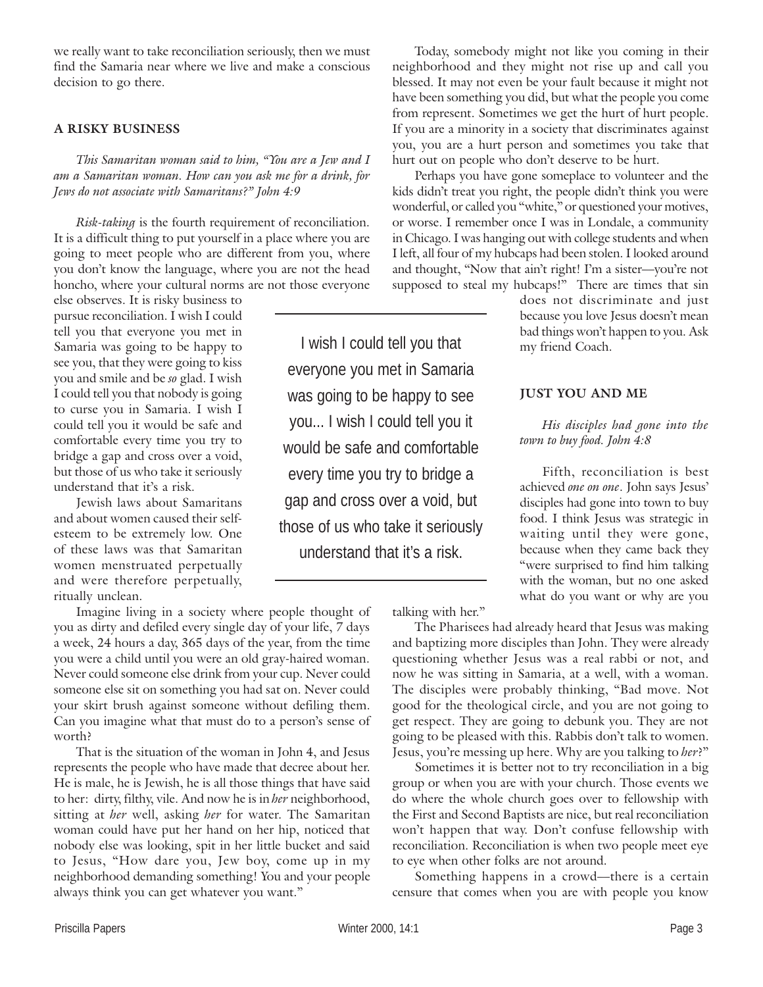we really want to take reconciliation seriously, then we must find the Samaria near where we live and make a conscious decision to go there.

#### **A RISKY BUSINESS**

*This Samaritan woman said to him, "You are a Jew and I am a Samaritan woman. How can you ask me for a drink, for Jews do not associate with Samaritans?" John 4:9*

*Risk-taking* is the fourth requirement of reconciliation. It is a difficult thing to put yourself in a place where you are going to meet people who are different from you, where you don't know the language, where you are not the head honcho, where your cultural norms are not those everyone

else observes. It is risky business to pursue reconciliation. I wish I could tell you that everyone you met in Samaria was going to be happy to see you, that they were going to kiss you and smile and be *so* glad. I wish I could tell you that nobody is going to curse you in Samaria. I wish I could tell you it would be safe and comfortable every time you try to bridge a gap and cross over a void, but those of us who take it seriously understand that it's a risk.

Jewish laws about Samaritans and about women caused their selfesteem to be extremely low. One of these laws was that Samaritan women menstruated perpetually and were therefore perpetually, ritually unclean.

Imagine living in a society where people thought of you as dirty and defiled every single day of your life, 7 days a week, 24 hours a day, 365 days of the year, from the time you were a child until you were an old gray-haired woman. Never could someone else drink from your cup. Never could someone else sit on something you had sat on. Never could your skirt brush against someone without defiling them. Can you imagine what that must do to a person's sense of worth?

That is the situation of the woman in John 4, and Jesus represents the people who have made that decree about her. He is male, he is Jewish, he is all those things that have said to her: dirty, filthy, vile. And now he is in *her* neighborhood, sitting at *her* well, asking *her* for water. The Samaritan woman could have put her hand on her hip, noticed that nobody else was looking, spit in her little bucket and said to Jesus, "How dare you, Jew boy, come up in my neighborhood demanding something! You and your people always think you can get whatever you want."

I wish I could tell you that everyone you met in Samaria was going to be happy to see you... I wish I could tell you it would be safe and comfortable every time you try to bridge a gap and cross over a void, but those of us who take it seriously understand that it's a risk.

Today, somebody might not like you coming in their neighborhood and they might not rise up and call you blessed. It may not even be your fault because it might not have been something you did, but what the people you come from represent. Sometimes we get the hurt of hurt people. If you are a minority in a society that discriminates against you, you are a hurt person and sometimes you take that hurt out on people who don't deserve to be hurt.

Perhaps you have gone someplace to volunteer and the kids didn't treat you right, the people didn't think you were wonderful, or called you "white," or questioned your motives, or worse. I remember once I was in Londale, a community in Chicago. I was hanging out with college students and when I left, all four of my hubcaps had been stolen. I looked around and thought, "Now that ain't right! I'm a sister—you're not supposed to steal my hubcaps!" There are times that sin

does not discriminate and just because you love Jesus doesn't mean bad things won't happen to you. Ask my friend Coach.

#### **JUST YOU AND ME**

*His disciples had gone into the town to buy food. John 4:8*

Fifth, reconciliation is best achieved *one on one*. John says Jesus' disciples had gone into town to buy food. I think Jesus was strategic in waiting until they were gone, because when they came back they "were surprised to find him talking with the woman, but no one asked what do you want or why are you

talking with her."

The Pharisees had already heard that Jesus was making and baptizing more disciples than John. They were already questioning whether Jesus was a real rabbi or not, and now he was sitting in Samaria, at a well, with a woman. The disciples were probably thinking, "Bad move. Not good for the theological circle, and you are not going to get respect. They are going to debunk you. They are not going to be pleased with this. Rabbis don't talk to women. Jesus, you're messing up here. Why are you talking to *her*?"

Sometimes it is better not to try reconciliation in a big group or when you are with your church. Those events we do where the whole church goes over to fellowship with the First and Second Baptists are nice, but real reconciliation won't happen that way. Don't confuse fellowship with reconciliation. Reconciliation is when two people meet eye to eye when other folks are not around.

Something happens in a crowd—there is a certain censure that comes when you are with people you know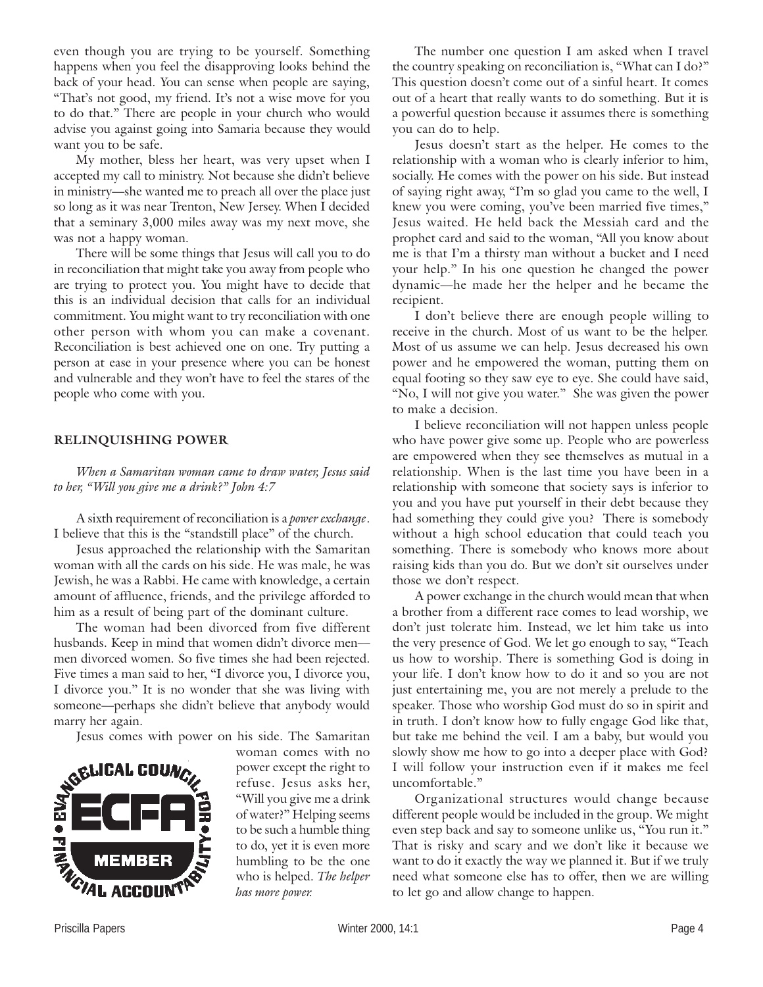even though you are trying to be yourself. Something happens when you feel the disapproving looks behind the back of your head. You can sense when people are saying, "That's not good, my friend. It's not a wise move for you to do that." There are people in your church who would advise you against going into Samaria because they would want you to be safe.

My mother, bless her heart, was very upset when I accepted my call to ministry. Not because she didn't believe in ministry—she wanted me to preach all over the place just so long as it was near Trenton, New Jersey. When I decided that a seminary 3,000 miles away was my next move, she was not a happy woman.

There will be some things that Jesus will call you to do in reconciliation that might take you away from people who are trying to protect you. You might have to decide that this is an individual decision that calls for an individual commitment. You might want to try reconciliation with one other person with whom you can make a covenant. Reconciliation is best achieved one on one. Try putting a person at ease in your presence where you can be honest and vulnerable and they won't have to feel the stares of the people who come with you.

#### **RELINQUISHING POWER**

*When a Samaritan woman came to draw water, Jesus said to her, "Will you give me a drink?" John 4:7*

A sixth requirement of reconciliation is a *power exchange*. I believe that this is the "standstill place" of the church.

Jesus approached the relationship with the Samaritan woman with all the cards on his side. He was male, he was Jewish, he was a Rabbi. He came with knowledge, a certain amount of affluence, friends, and the privilege afforded to him as a result of being part of the dominant culture.

The woman had been divorced from five different husbands. Keep in mind that women didn't divorce menmen divorced women. So five times she had been rejected. Five times a man said to her, "I divorce you, I divorce you, I divorce you." It is no wonder that she was living with someone—perhaps she didn't believe that anybody would marry her again.

Jesus comes with power on his side. The Samaritan



woman comes with no power except the right to refuse. Jesus asks her, "Will you give me a drink of water?" Helping seems to be such a humble thing to do, yet it is even more humbling to be the one who is helped. *The helper has more power.*

The number one question I am asked when I travel the country speaking on reconciliation is, "What can I do?" This question doesn't come out of a sinful heart. It comes out of a heart that really wants to do something. But it is a powerful question because it assumes there is something you can do to help.

Jesus doesn't start as the helper. He comes to the relationship with a woman who is clearly inferior to him, socially. He comes with the power on his side. But instead of saying right away, "I'm so glad you came to the well, I knew you were coming, you've been married five times," Jesus waited. He held back the Messiah card and the prophet card and said to the woman, "All you know about me is that I'm a thirsty man without a bucket and I need your help." In his one question he changed the power dynamic—he made her the helper and he became the recipient.

I don't believe there are enough people willing to receive in the church. Most of us want to be the helper. Most of us assume we can help. Jesus decreased his own power and he empowered the woman, putting them on equal footing so they saw eye to eye. She could have said, "No, I will not give you water." She was given the power to make a decision.

I believe reconciliation will not happen unless people who have power give some up. People who are powerless are empowered when they see themselves as mutual in a relationship. When is the last time you have been in a relationship with someone that society says is inferior to you and you have put yourself in their debt because they had something they could give you? There is somebody without a high school education that could teach you something. There is somebody who knows more about raising kids than you do. But we don't sit ourselves under those we don't respect.

A power exchange in the church would mean that when a brother from a different race comes to lead worship, we don't just tolerate him. Instead, we let him take us into the very presence of God. We let go enough to say, "Teach us how to worship. There is something God is doing in your life. I don't know how to do it and so you are not just entertaining me, you are not merely a prelude to the speaker. Those who worship God must do so in spirit and in truth. I don't know how to fully engage God like that, but take me behind the veil. I am a baby, but would you slowly show me how to go into a deeper place with God? I will follow your instruction even if it makes me feel uncomfortable."

Organizational structures would change because different people would be included in the group. We might even step back and say to someone unlike us, "You run it." That is risky and scary and we don't like it because we want to do it exactly the way we planned it. But if we truly need what someone else has to offer, then we are willing to let go and allow change to happen.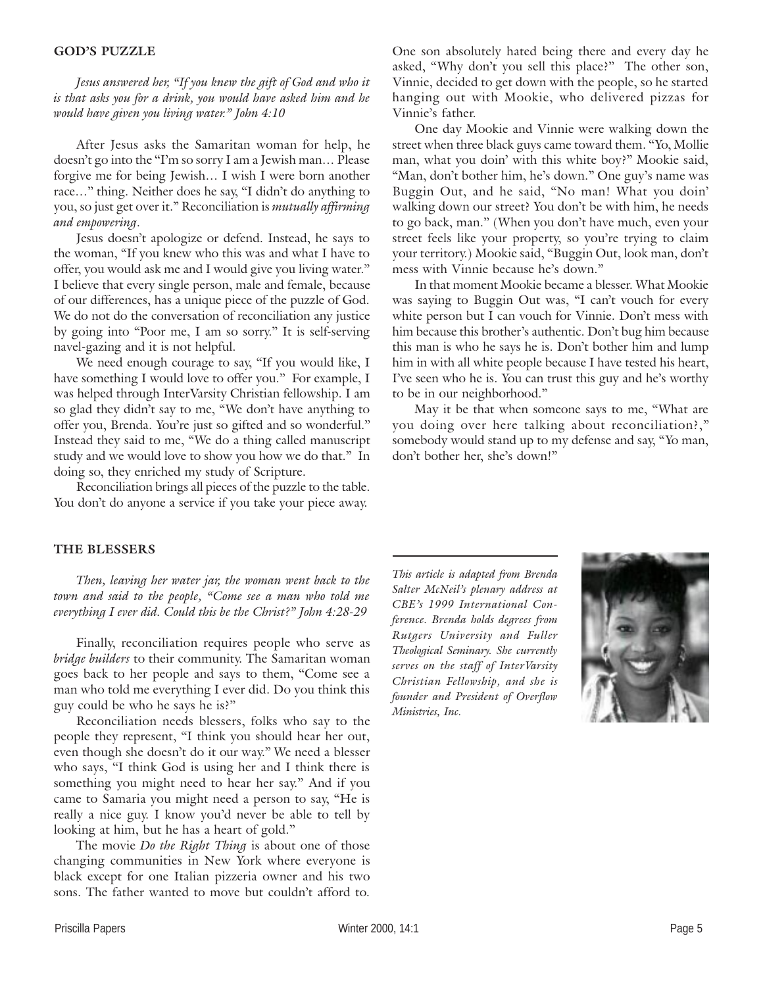#### **GOD'S PUZZLE**

*Jesus answered her, "If you knew the gift of God and who it is that asks you for a drink, you would have asked him and he would have given you living water." John 4:10*

After Jesus asks the Samaritan woman for help, he doesn't go into the "I'm so sorry I am a Jewish man… Please forgive me for being Jewish… I wish I were born another race…" thing. Neither does he say, "I didn't do anything to you, so just get over it." Reconciliation is *mutually affirming and empowering*.

Jesus doesn't apologize or defend. Instead, he says to the woman, "If you knew who this was and what I have to offer, you would ask me and I would give you living water." I believe that every single person, male and female, because of our differences, has a unique piece of the puzzle of God. We do not do the conversation of reconciliation any justice by going into "Poor me, I am so sorry." It is self-serving navel-gazing and it is not helpful.

We need enough courage to say, "If you would like, I have something I would love to offer you." For example, I was helped through InterVarsity Christian fellowship. I am so glad they didn't say to me, "We don't have anything to offer you, Brenda. You're just so gifted and so wonderful." Instead they said to me, "We do a thing called manuscript study and we would love to show you how we do that." In doing so, they enriched my study of Scripture.

Reconciliation brings all pieces of the puzzle to the table. You don't do anyone a service if you take your piece away.

#### **THE BLESSERS**

*Then, leaving her water jar, the woman went back to the town and said to the people, "Come see a man who told me everything I ever did. Could this be the Christ?" John 4:28-29*

Finally, reconciliation requires people who serve as *bridge builders* to their community. The Samaritan woman goes back to her people and says to them, "Come see a man who told me everything I ever did. Do you think this guy could be who he says he is?"

Reconciliation needs blessers, folks who say to the people they represent, "I think you should hear her out, even though she doesn't do it our way." We need a blesser who says, "I think God is using her and I think there is something you might need to hear her say." And if you came to Samaria you might need a person to say, "He is really a nice guy. I know you'd never be able to tell by looking at him, but he has a heart of gold."

The movie *Do the Right Thing* is about one of those changing communities in New York where everyone is black except for one Italian pizzeria owner and his two sons. The father wanted to move but couldn't afford to.

One son absolutely hated being there and every day he asked, "Why don't you sell this place?" The other son, Vinnie, decided to get down with the people, so he started hanging out with Mookie, who delivered pizzas for Vinnie's father.

One day Mookie and Vinnie were walking down the street when three black guys came toward them. "Yo, Mollie man, what you doin' with this white boy?" Mookie said, "Man, don't bother him, he's down." One guy's name was Buggin Out, and he said, "No man! What you doin' walking down our street? You don't be with him, he needs to go back, man." (When you don't have much, even your street feels like your property, so you're trying to claim your territory.) Mookie said, "Buggin Out, look man, don't mess with Vinnie because he's down."

In that moment Mookie became a blesser. What Mookie was saying to Buggin Out was, "I can't vouch for every white person but I can vouch for Vinnie. Don't mess with him because this brother's authentic. Don't bug him because this man is who he says he is. Don't bother him and lump him in with all white people because I have tested his heart, I've seen who he is. You can trust this guy and he's worthy to be in our neighborhood."

May it be that when someone says to me, "What are you doing over here talking about reconciliation?," somebody would stand up to my defense and say, "Yo man, don't bother her, she's down!"

*This article is adapted from Brenda Salter McNeil's plenary address at CBE's 1999 International Conference. Brenda holds degrees from Rutgers University and Fuller Theological Seminary. She currently serves on the staff of InterVarsity Christian Fellowship, and she is founder and President of Overflow Ministries, Inc.*

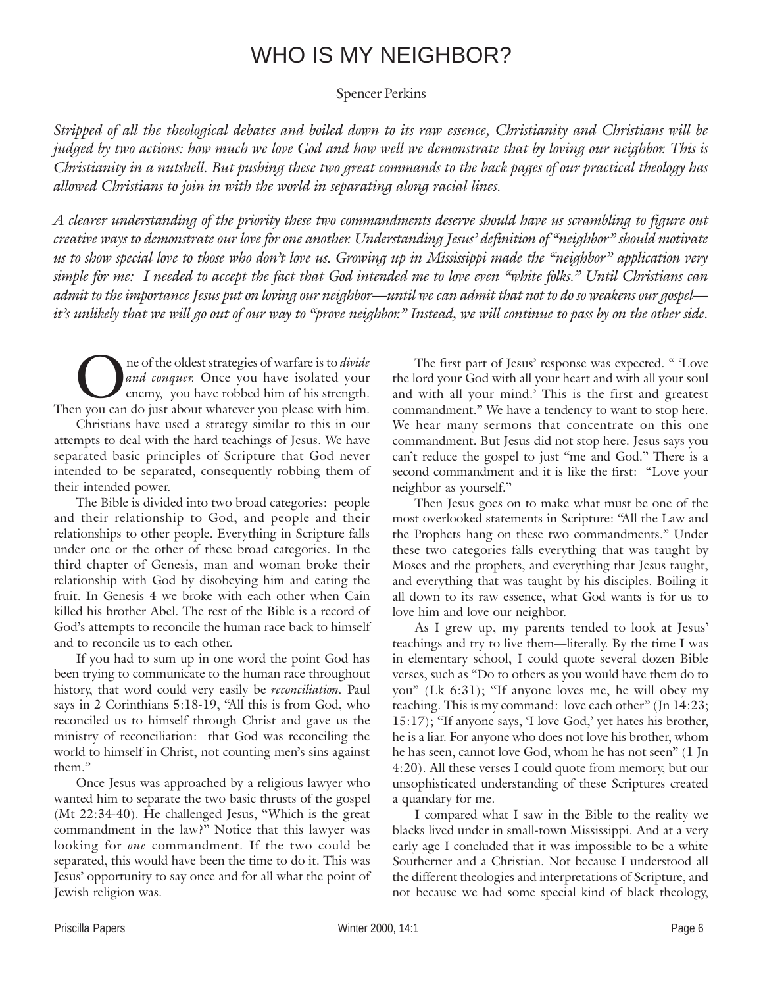## WHO IS MY NEIGHBOR?

#### Spencer Perkins

*Stripped of all the theological debates and boiled down to its raw essence, Christianity and Christians will be judged by two actions: how much we love God and how well we demonstrate that by loving our neighbor. This is Christianity in a nutshell. But pushing these two great commands to the back pages of our practical theology has allowed Christians to join in with the world in separating along racial lines.*

*A clearer understanding of the priority these two commandments deserve should have us scrambling to figure out creative ways to demonstrate our love for one another. Understanding Jesus' definition of "neighbor" should motivate us to show special love to those who don't love us. Growing up in Mississippi made the "neighbor" application very simple for me: I needed to accept the fact that God intended me to love even "white folks." Until Christians can admit to the importance Jesus put on loving our neighbor—until we can admit that not to do so weakens our gospel it's unlikely that we will go out of our way to "prove neighbor." Instead, we will continue to pass by on the other side.*

**One of the oldest strategies of warfare is to** *divide*<br>
and conquer. Once you have isolated your<br>
enemy, you have robbed him of his strength.<br>
Then you can do just about whatever you please with him. *and conquer.* Once you have isolated your enemy, you have robbed him of his strength.

Christians have used a strategy similar to this in our attempts to deal with the hard teachings of Jesus. We have separated basic principles of Scripture that God never intended to be separated, consequently robbing them of their intended power.

The Bible is divided into two broad categories: people and their relationship to God, and people and their relationships to other people. Everything in Scripture falls under one or the other of these broad categories. In the third chapter of Genesis, man and woman broke their relationship with God by disobeying him and eating the fruit. In Genesis 4 we broke with each other when Cain killed his brother Abel. The rest of the Bible is a record of God's attempts to reconcile the human race back to himself and to reconcile us to each other.

If you had to sum up in one word the point God has been trying to communicate to the human race throughout history, that word could very easily be *reconciliation.* Paul says in 2 Corinthians 5:18-19, "All this is from God, who reconciled us to himself through Christ and gave us the ministry of reconciliation: that God was reconciling the world to himself in Christ, not counting men's sins against them."

Once Jesus was approached by a religious lawyer who wanted him to separate the two basic thrusts of the gospel (Mt 22:34-40). He challenged Jesus, "Which is the great commandment in the law?" Notice that this lawyer was looking for *one* commandment. If the two could be separated, this would have been the time to do it. This was Jesus' opportunity to say once and for all what the point of Jewish religion was.

The first part of Jesus' response was expected. " 'Love the lord your God with all your heart and with all your soul and with all your mind.' This is the first and greatest commandment." We have a tendency to want to stop here. We hear many sermons that concentrate on this one commandment. But Jesus did not stop here. Jesus says you can't reduce the gospel to just "me and God." There is a second commandment and it is like the first: "Love your neighbor as yourself."

Then Jesus goes on to make what must be one of the most overlooked statements in Scripture: "All the Law and the Prophets hang on these two commandments." Under these two categories falls everything that was taught by Moses and the prophets, and everything that Jesus taught, and everything that was taught by his disciples. Boiling it all down to its raw essence, what God wants is for us to love him and love our neighbor.

As I grew up, my parents tended to look at Jesus' teachings and try to live them—literally. By the time I was in elementary school, I could quote several dozen Bible verses, such as "Do to others as you would have them do to you" (Lk 6:31); "If anyone loves me, he will obey my teaching. This is my command: love each other" (Jn 14:23; 15:17); "If anyone says, 'I love God,' yet hates his brother, he is a liar. For anyone who does not love his brother, whom he has seen, cannot love God, whom he has not seen" (1 Jn 4:20). All these verses I could quote from memory, but our unsophisticated understanding of these Scriptures created a quandary for me.

I compared what I saw in the Bible to the reality we blacks lived under in small-town Mississippi. And at a very early age I concluded that it was impossible to be a white Southerner and a Christian. Not because I understood all the different theologies and interpretations of Scripture, and not because we had some special kind of black theology,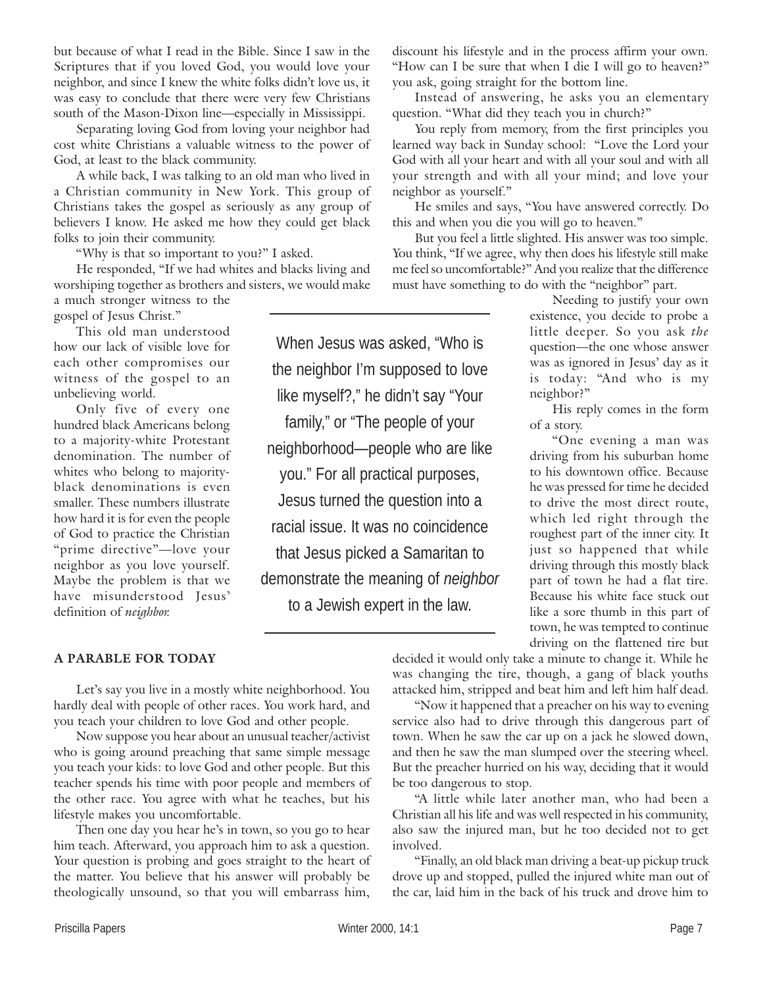but because of what I read in the Bible. Since I saw in the Scriptures that if you loved God, you would love your neighbor, and since I knew the white folks didn't love us, it was easy to conclude that there were very few Christians south of the Mason-Dixon line—especially in Mississippi.

Separating loving God from loving your neighbor had cost white Christians a valuable witness to the power of God, at least to the black community.

A while back, I was talking to an old man who lived in a Christian community in New York. This group of Christians takes the gospel as seriously as any group of believers I know. He asked me how they could get black folks to join their community.

"Why is that so important to you?" I asked.

He responded, "If we had whites and blacks living and worshiping together as brothers and sisters, we would make a much stronger witness to the

gospel of Jesus Christ."

This old man understood how our lack of visible love for each other compromises our witness of the gospel to an unbelieving world.

Only five of every one hundred black Americans belong to a majority-white Protestant denomination. The number of whites who belong to majorityblack denominations is even smaller. These numbers illustrate how hard it is for even the people of God to practice the Christian "prime directive"—love your neighbor as you love yourself. Maybe the problem is that we have misunderstood Jesus' definition of *neighbor.*

When Jesus was asked, "Who is the neighbor I'm supposed to love like myself?," he didn't say "Your family," or "The people of your neighborhood—people who are like you." For all practical purposes, Jesus turned the question into a racial issue. It was no coincidence that Jesus picked a Samaritan to demonstrate the meaning of *neighbor* to a Jewish expert in the law.

discount his lifestyle and in the process affirm your own. "How can I be sure that when I die I will go to heaven?" you ask, going straight for the bottom line.

Instead of answering, he asks you an elementary question. "What did they teach you in church?"

You reply from memory, from the first principles you learned way back in Sunday school: "Love the Lord your God with all your heart and with all your soul and with all your strength and with all your mind; and love your neighbor as yourself."

He smiles and says, "You have answered correctly. Do this and when you die you will go to heaven."

But you feel a little slighted. His answer was too simple. You think, "If we agree, why then does his lifestyle still make me feel so uncomfortable?" And you realize that the difference must have something to do with the "neighbor" part.

> Needing to justify your own existence, you decide to probe a little deeper. So you ask *the* question—the one whose answer was as ignored in Jesus' day as it is today: "And who is my neighbor?"

His reply comes in the form of a story.

"One evening a man was driving from his suburban home to his downtown office. Because he was pressed for time he decided to drive the most direct route, which led right through the roughest part of the inner city. It just so happened that while driving through this mostly black part of town he had a flat tire. Because his white face stuck out like a sore thumb in this part of town, he was tempted to continue driving on the flattened tire but

#### **A PARABLE FOR TODAY**

Let's say you live in a mostly white neighborhood. You hardly deal with people of other races. You work hard, and you teach your children to love God and other people.

Now suppose you hear about an unusual teacher/activist who is going around preaching that same simple message you teach your kids: to love God and other people. But this teacher spends his time with poor people and members of the other race. You agree with what he teaches, but his lifestyle makes you uncomfortable.

Then one day you hear he's in town, so you go to hear him teach. Afterward, you approach him to ask a question. Your question is probing and goes straight to the heart of the matter. You believe that his answer will probably be theologically unsound, so that you will embarrass him,

decided it would only take a minute to change it. While he was changing the tire, though, a gang of black youths attacked him, stripped and beat him and left him half dead.

"Now it happened that a preacher on his way to evening service also had to drive through this dangerous part of town. When he saw the car up on a jack he slowed down, and then he saw the man slumped over the steering wheel. But the preacher hurried on his way, deciding that it would be too dangerous to stop.

"A little while later another man, who had been a Christian all his life and was well respected in his community, also saw the injured man, but he too decided not to get involved.

"Finally, an old black man driving a beat-up pickup truck drove up and stopped, pulled the injured white man out of the car, laid him in the back of his truck and drove him to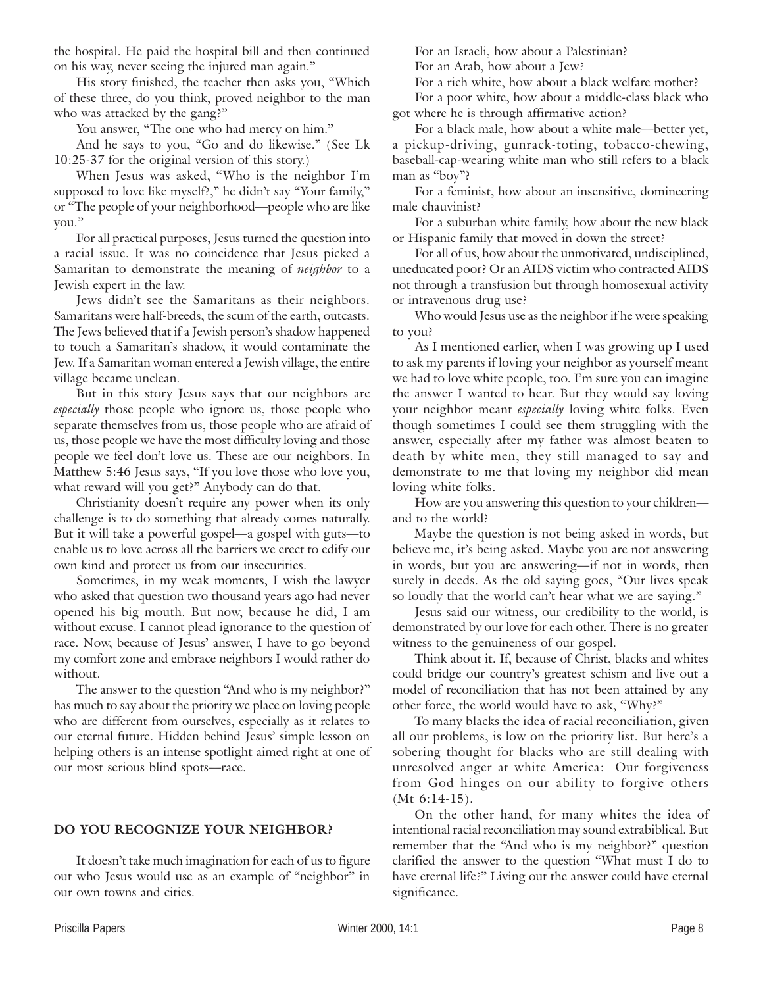the hospital. He paid the hospital bill and then continued on his way, never seeing the injured man again."

His story finished, the teacher then asks you, "Which of these three, do you think, proved neighbor to the man who was attacked by the gang?"

You answer, "The one who had mercy on him."

And he says to you, "Go and do likewise." (See Lk 10:25-37 for the original version of this story.)

When Jesus was asked, "Who is the neighbor I'm supposed to love like myself?," he didn't say "Your family," or "The people of your neighborhood—people who are like you."

For all practical purposes, Jesus turned the question into a racial issue. It was no coincidence that Jesus picked a Samaritan to demonstrate the meaning of *neighbor* to a Jewish expert in the law.

Jews didn't see the Samaritans as their neighbors. Samaritans were half-breeds, the scum of the earth, outcasts. The Jews believed that if a Jewish person's shadow happened to touch a Samaritan's shadow, it would contaminate the Jew. If a Samaritan woman entered a Jewish village, the entire village became unclean.

But in this story Jesus says that our neighbors are *especially* those people who ignore us, those people who separate themselves from us, those people who are afraid of us, those people we have the most difficulty loving and those people we feel don't love us. These are our neighbors. In Matthew 5:46 Jesus says, "If you love those who love you, what reward will you get?" Anybody can do that.

Christianity doesn't require any power when its only challenge is to do something that already comes naturally. But it will take a powerful gospel—a gospel with guts—to enable us to love across all the barriers we erect to edify our own kind and protect us from our insecurities.

Sometimes, in my weak moments, I wish the lawyer who asked that question two thousand years ago had never opened his big mouth. But now, because he did, I am without excuse. I cannot plead ignorance to the question of race. Now, because of Jesus' answer, I have to go beyond my comfort zone and embrace neighbors I would rather do without.

The answer to the question "And who is my neighbor?" has much to say about the priority we place on loving people who are different from ourselves, especially as it relates to our eternal future. Hidden behind Jesus' simple lesson on helping others is an intense spotlight aimed right at one of our most serious blind spots—race.

#### **DO YOU RECOGNIZE YOUR NEIGHBOR?**

It doesn't take much imagination for each of us to figure out who Jesus would use as an example of "neighbor" in our own towns and cities.

For an Israeli, how about a Palestinian?

For an Arab, how about a Jew?

For a rich white, how about a black welfare mother?

For a poor white, how about a middle-class black who got where he is through affirmative action?

For a black male, how about a white male—better yet, a pickup-driving, gunrack-toting, tobacco-chewing, baseball-cap-wearing white man who still refers to a black man as "boy"?

For a feminist, how about an insensitive, domineering male chauvinist?

For a suburban white family, how about the new black or Hispanic family that moved in down the street?

For all of us, how about the unmotivated, undisciplined, uneducated poor? Or an AIDS victim who contracted AIDS not through a transfusion but through homosexual activity or intravenous drug use?

Who would Jesus use as the neighbor if he were speaking to you?

As I mentioned earlier, when I was growing up I used to ask my parents if loving your neighbor as yourself meant we had to love white people, too. I'm sure you can imagine the answer I wanted to hear. But they would say loving your neighbor meant *especially* loving white folks. Even though sometimes I could see them struggling with the answer, especially after my father was almost beaten to death by white men, they still managed to say and demonstrate to me that loving my neighbor did mean loving white folks.

How are you answering this question to your children and to the world?

Maybe the question is not being asked in words, but believe me, it's being asked. Maybe you are not answering in words, but you are answering—if not in words, then surely in deeds. As the old saying goes, "Our lives speak so loudly that the world can't hear what we are saying."

Jesus said our witness, our credibility to the world, is demonstrated by our love for each other. There is no greater witness to the genuineness of our gospel.

Think about it. If, because of Christ, blacks and whites could bridge our country's greatest schism and live out a model of reconciliation that has not been attained by any other force, the world would have to ask, "Why?"

To many blacks the idea of racial reconciliation, given all our problems, is low on the priority list. But here's a sobering thought for blacks who are still dealing with unresolved anger at white America: Our forgiveness from God hinges on our ability to forgive others (Mt 6:14-15).

On the other hand, for many whites the idea of intentional racial reconciliation may sound extrabiblical. But remember that the "And who is my neighbor?" question clarified the answer to the question "What must I do to have eternal life?" Living out the answer could have eternal significance.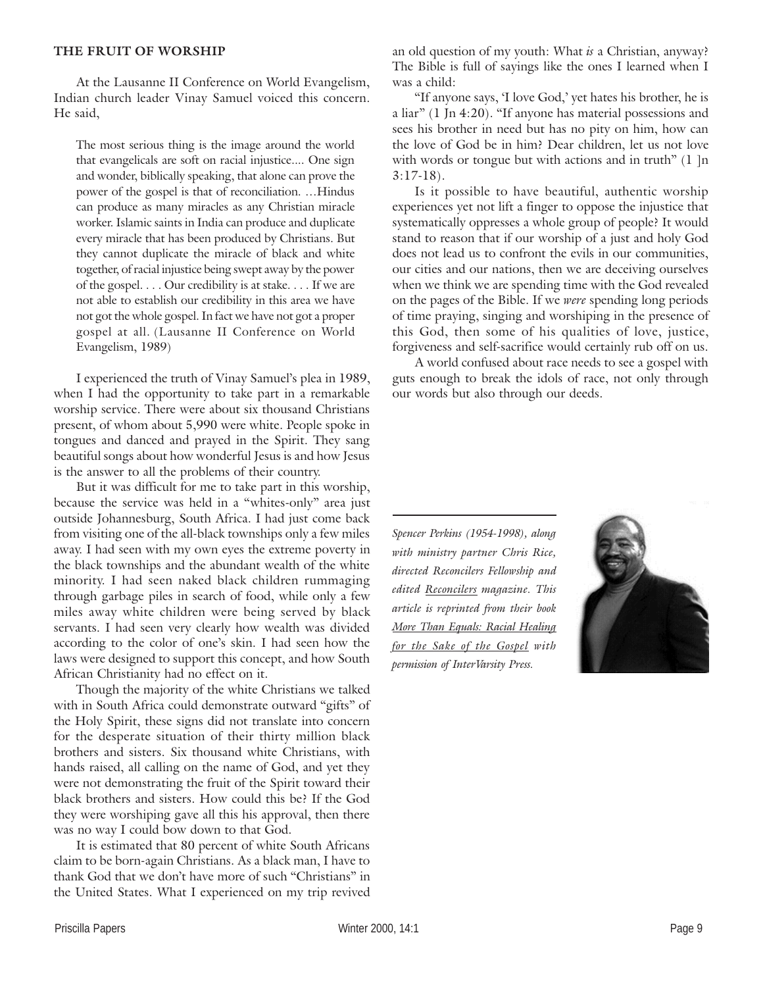#### **THE FRUIT OF WORSHIP**

At the Lausanne II Conference on World Evangelism, Indian church leader Vinay Samuel voiced this concern. He said,

The most serious thing is the image around the world that evangelicals are soft on racial injustice.... One sign and wonder, biblically speaking, that alone can prove the power of the gospel is that of reconciliation. …Hindus can produce as many miracles as any Christian miracle worker. Islamic saints in India can produce and duplicate every miracle that has been produced by Christians. But they cannot duplicate the miracle of black and white together, of racial injustice being swept away by the power of the gospel. . . . Our credibility is at stake. . . . If we are not able to establish our credibility in this area we have not got the whole gospel. In fact we have not got a proper gospel at all. (Lausanne II Conference on World Evangelism, 1989)

I experienced the truth of Vinay Samuel's plea in 1989, when I had the opportunity to take part in a remarkable worship service. There were about six thousand Christians present, of whom about 5,990 were white. People spoke in tongues and danced and prayed in the Spirit. They sang beautiful songs about how wonderful Jesus is and how Jesus is the answer to all the problems of their country.

But it was difficult for me to take part in this worship, because the service was held in a "whites-only" area just outside Johannesburg, South Africa. I had just come back from visiting one of the all-black townships only a few miles away. I had seen with my own eyes the extreme poverty in the black townships and the abundant wealth of the white minority. I had seen naked black children rummaging through garbage piles in search of food, while only a few miles away white children were being served by black servants. I had seen very clearly how wealth was divided according to the color of one's skin. I had seen how the laws were designed to support this concept, and how South African Christianity had no effect on it.

Though the majority of the white Christians we talked with in South Africa could demonstrate outward "gifts" of the Holy Spirit, these signs did not translate into concern for the desperate situation of their thirty million black brothers and sisters. Six thousand white Christians, with hands raised, all calling on the name of God, and yet they were not demonstrating the fruit of the Spirit toward their black brothers and sisters. How could this be? If the God they were worshiping gave all this his approval, then there was no way I could bow down to that God.

It is estimated that 80 percent of white South Africans claim to be born-again Christians. As a black man, I have to thank God that we don't have more of such "Christians" in the United States. What I experienced on my trip revived an old question of my youth: What *is* a Christian, anyway? The Bible is full of sayings like the ones I learned when I was a child:

"If anyone says, 'I love God,' yet hates his brother, he is a liar" (1 Jn 4:20). "If anyone has material possessions and sees his brother in need but has no pity on him, how can the love of God be in him? Dear children, let us not love with words or tongue but with actions and in truth"  $(1 \ln x)$ 3:17-18).

Is it possible to have beautiful, authentic worship experiences yet not lift a finger to oppose the injustice that systematically oppresses a whole group of people? It would stand to reason that if our worship of a just and holy God does not lead us to confront the evils in our communities, our cities and our nations, then we are deceiving ourselves when we think we are spending time with the God revealed on the pages of the Bible. If we *were* spending long periods of time praying, singing and worshiping in the presence of this God, then some of his qualities of love, justice, forgiveness and self-sacrifice would certainly rub off on us.

A world confused about race needs to see a gospel with guts enough to break the idols of race, not only through our words but also through our deeds.

*Spencer Perkins (1954-1998), along with ministry partner Chris Rice, directed Reconcilers Fellowship and edited Reconcilers magazine. This article is reprinted from their book More Than Equals: Racial Healing for the Sake of the Gospel with permission of InterVarsity Press.*

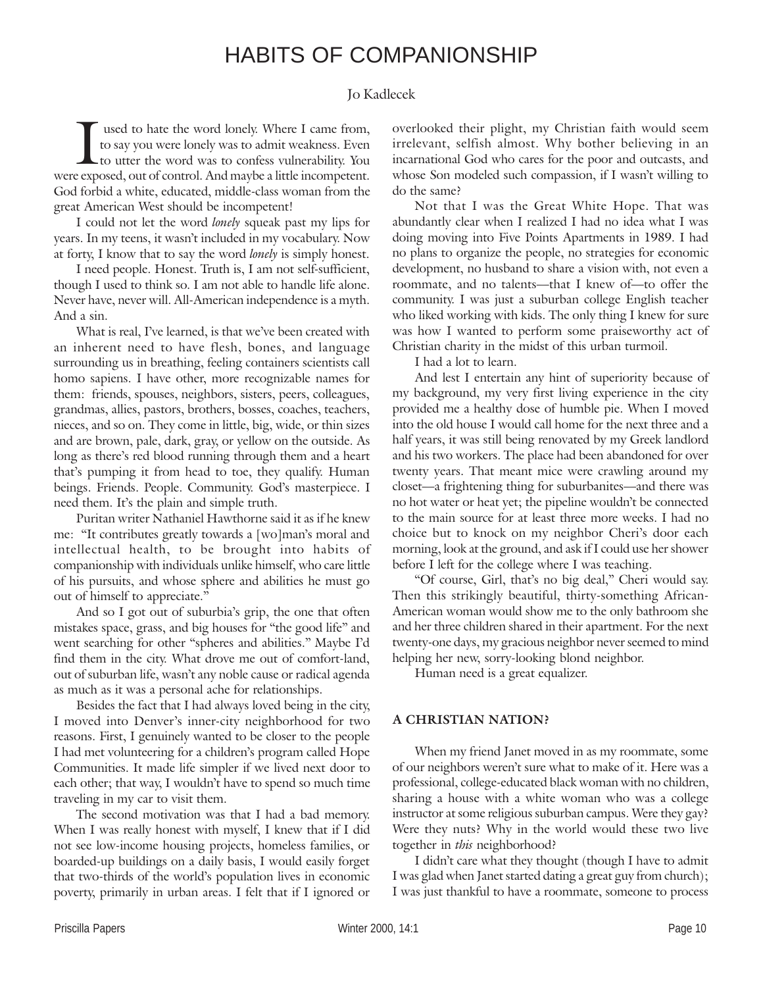# HABITS OF COMPANIONSHIP

#### Jo Kadlecek

I used to hate the word lonely. Where I came from, to say you were lonely was to admit weakness. Even to utter the word was to confess vulnerability. You exposed, out of control. And maybe a little incompetent. to say you were lonely was to admit weakness. Even to utter the word was to confess vulnerability. You were exposed, out of control. And maybe a little incompetent. God forbid a white, educated, middle-class woman from the great American West should be incompetent!

I could not let the word *lonely* squeak past my lips for years. In my teens, it wasn't included in my vocabulary. Now at forty, I know that to say the word *lonely* is simply honest.

I need people. Honest. Truth is, I am not self-sufficient, though I used to think so. I am not able to handle life alone. Never have, never will. All-American independence is a myth. And a sin.

What is real, I've learned, is that we've been created with an inherent need to have flesh, bones, and language surrounding us in breathing, feeling containers scientists call homo sapiens. I have other, more recognizable names for them: friends, spouses, neighbors, sisters, peers, colleagues, grandmas, allies, pastors, brothers, bosses, coaches, teachers, nieces, and so on. They come in little, big, wide, or thin sizes and are brown, pale, dark, gray, or yellow on the outside. As long as there's red blood running through them and a heart that's pumping it from head to toe, they qualify. Human beings. Friends. People. Community. God's masterpiece. I need them. It's the plain and simple truth.

Puritan writer Nathaniel Hawthorne said it as if he knew me: "It contributes greatly towards a [wo]man's moral and intellectual health, to be brought into habits of companionship with individuals unlike himself, who care little of his pursuits, and whose sphere and abilities he must go out of himself to appreciate."

And so I got out of suburbia's grip, the one that often mistakes space, grass, and big houses for "the good life" and went searching for other "spheres and abilities." Maybe I'd find them in the city. What drove me out of comfort-land, out of suburban life, wasn't any noble cause or radical agenda as much as it was a personal ache for relationships.

Besides the fact that I had always loved being in the city, I moved into Denver's inner-city neighborhood for two reasons. First, I genuinely wanted to be closer to the people I had met volunteering for a children's program called Hope Communities. It made life simpler if we lived next door to each other; that way, I wouldn't have to spend so much time traveling in my car to visit them.

The second motivation was that I had a bad memory. When I was really honest with myself, I knew that if I did not see low-income housing projects, homeless families, or boarded-up buildings on a daily basis, I would easily forget that two-thirds of the world's population lives in economic poverty, primarily in urban areas. I felt that if I ignored or

overlooked their plight, my Christian faith would seem irrelevant, selfish almost. Why bother believing in an incarnational God who cares for the poor and outcasts, and whose Son modeled such compassion, if I wasn't willing to do the same?

Not that I was the Great White Hope. That was abundantly clear when I realized I had no idea what I was doing moving into Five Points Apartments in 1989. I had no plans to organize the people, no strategies for economic development, no husband to share a vision with, not even a roommate, and no talents—that I knew of—to offer the community. I was just a suburban college English teacher who liked working with kids. The only thing I knew for sure was how I wanted to perform some praiseworthy act of Christian charity in the midst of this urban turmoil.

I had a lot to learn.

And lest I entertain any hint of superiority because of my background, my very first living experience in the city provided me a healthy dose of humble pie. When I moved into the old house I would call home for the next three and a half years, it was still being renovated by my Greek landlord and his two workers. The place had been abandoned for over twenty years. That meant mice were crawling around my closet—a frightening thing for suburbanites—and there was no hot water or heat yet; the pipeline wouldn't be connected to the main source for at least three more weeks. I had no choice but to knock on my neighbor Cheri's door each morning, look at the ground, and ask if I could use her shower before I left for the college where I was teaching.

"Of course, Girl, that's no big deal," Cheri would say. Then this strikingly beautiful, thirty-something African-American woman would show me to the only bathroom she and her three children shared in their apartment. For the next twenty-one days, my gracious neighbor never seemed to mind helping her new, sorry-looking blond neighbor.

Human need is a great equalizer.

#### **A CHRISTIAN NATION?**

When my friend Janet moved in as my roommate, some of our neighbors weren't sure what to make of it. Here was a professional, college-educated black woman with no children, sharing a house with a white woman who was a college instructor at some religious suburban campus. Were they gay? Were they nuts? Why in the world would these two live together in *this* neighborhood?

I didn't care what they thought (though I have to admit I was glad when Janet started dating a great guy from church); I was just thankful to have a roommate, someone to process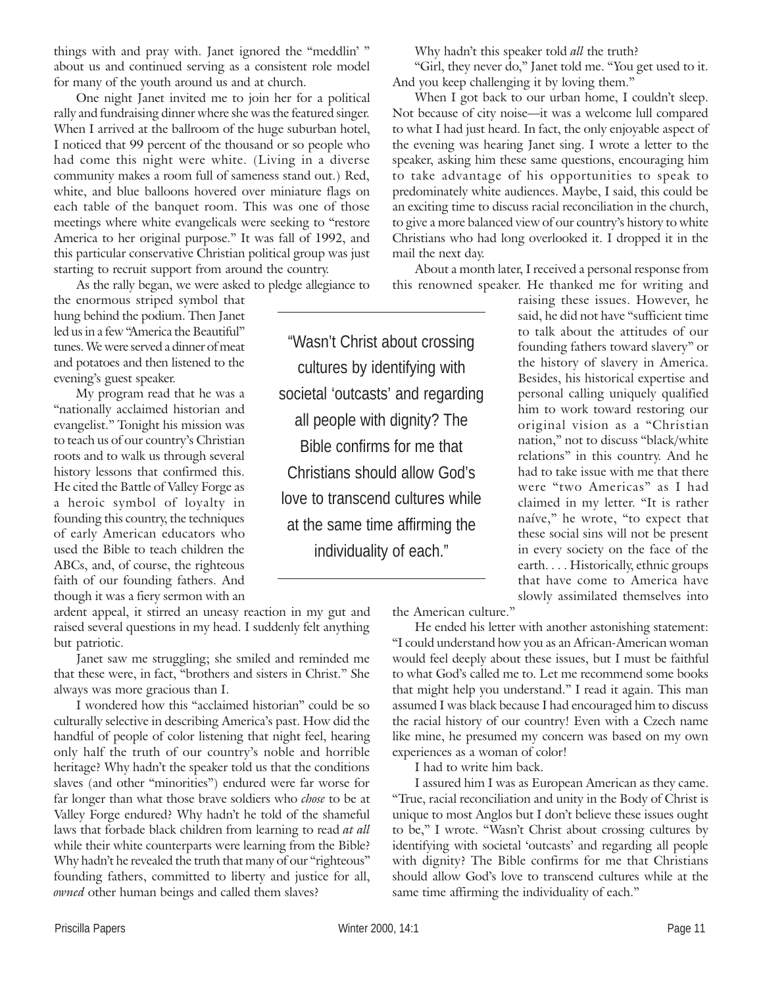things with and pray with. Janet ignored the "meddlin' " about us and continued serving as a consistent role model for many of the youth around us and at church.

One night Janet invited me to join her for a political rally and fundraising dinner where she was the featured singer. When I arrived at the ballroom of the huge suburban hotel, I noticed that 99 percent of the thousand or so people who had come this night were white. (Living in a diverse community makes a room full of sameness stand out.) Red, white, and blue balloons hovered over miniature flags on each table of the banquet room. This was one of those meetings where white evangelicals were seeking to "restore America to her original purpose." It was fall of 1992, and this particular conservative Christian political group was just starting to recruit support from around the country.

As the rally began, we were asked to pledge allegiance to

the enormous striped symbol that hung behind the podium. Then Janet led us in a few "America the Beautiful" tunes. We were served a dinner of meat and potatoes and then listened to the evening's guest speaker.

My program read that he was a "nationally acclaimed historian and evangelist." Tonight his mission was to teach us of our country's Christian roots and to walk us through several history lessons that confirmed this. He cited the Battle of Valley Forge as a heroic symbol of loyalty in founding this country, the techniques of early American educators who used the Bible to teach children the ABCs, and, of course, the righteous faith of our founding fathers. And though it was a fiery sermon with an

ardent appeal, it stirred an uneasy reaction in my gut and raised several questions in my head. I suddenly felt anything but patriotic.

Janet saw me struggling; she smiled and reminded me that these were, in fact, "brothers and sisters in Christ." She always was more gracious than I.

I wondered how this "acclaimed historian" could be so culturally selective in describing America's past. How did the handful of people of color listening that night feel, hearing only half the truth of our country's noble and horrible heritage? Why hadn't the speaker told us that the conditions slaves (and other "minorities") endured were far worse for far longer than what those brave soldiers who *chose* to be at Valley Forge endured? Why hadn't he told of the shameful laws that forbade black children from learning to read *at all* while their white counterparts were learning from the Bible? Why hadn't he revealed the truth that many of our "righteous" founding fathers, committed to liberty and justice for all, *owned* other human beings and called them slaves?

Why hadn't this speaker told *all* the truth?

"Girl, they never do," Janet told me. "You get used to it. And you keep challenging it by loving them."

When I got back to our urban home, I couldn't sleep. Not because of city noise—it was a welcome lull compared to what I had just heard. In fact, the only enjoyable aspect of the evening was hearing Janet sing. I wrote a letter to the speaker, asking him these same questions, encouraging him to take advantage of his opportunities to speak to predominately white audiences. Maybe, I said, this could be an exciting time to discuss racial reconciliation in the church, to give a more balanced view of our country's history to white Christians who had long overlooked it. I dropped it in the mail the next day.

About a month later, I received a personal response from this renowned speaker. He thanked me for writing and

raising these issues. However, he said, he did not have "sufficient time to talk about the attitudes of our founding fathers toward slavery" or the history of slavery in America. Besides, his historical expertise and personal calling uniquely qualified him to work toward restoring our original vision as a "Christian nation," not to discuss "black/white relations" in this country. And he had to take issue with me that there were "two Americas" as I had claimed in my letter. "It is rather naíve," he wrote, "to expect that these social sins will not be present in every society on the face of the earth. . . . Historically, ethnic groups that have come to America have slowly assimilated themselves into

the American culture."

He ended his letter with another astonishing statement: "I could understand how you as an African-American woman would feel deeply about these issues, but I must be faithful to what God's called me to. Let me recommend some books that might help you understand." I read it again. This man assumed I was black because I had encouraged him to discuss the racial history of our country! Even with a Czech name like mine, he presumed my concern was based on my own experiences as a woman of color!

I had to write him back.

I assured him I was as European American as they came. "True, racial reconciliation and unity in the Body of Christ is unique to most Anglos but I don't believe these issues ought to be," I wrote. "Wasn't Christ about crossing cultures by identifying with societal 'outcasts' and regarding all people with dignity? The Bible confirms for me that Christians should allow God's love to transcend cultures while at the same time affirming the individuality of each."

"Wasn't Christ about crossing

cultures by identifying with

societal 'outcasts' and regarding

all people with dignity? The

Bible confirms for me that

Christians should allow God's

love to transcend cultures while

at the same time affirming the

individuality of each."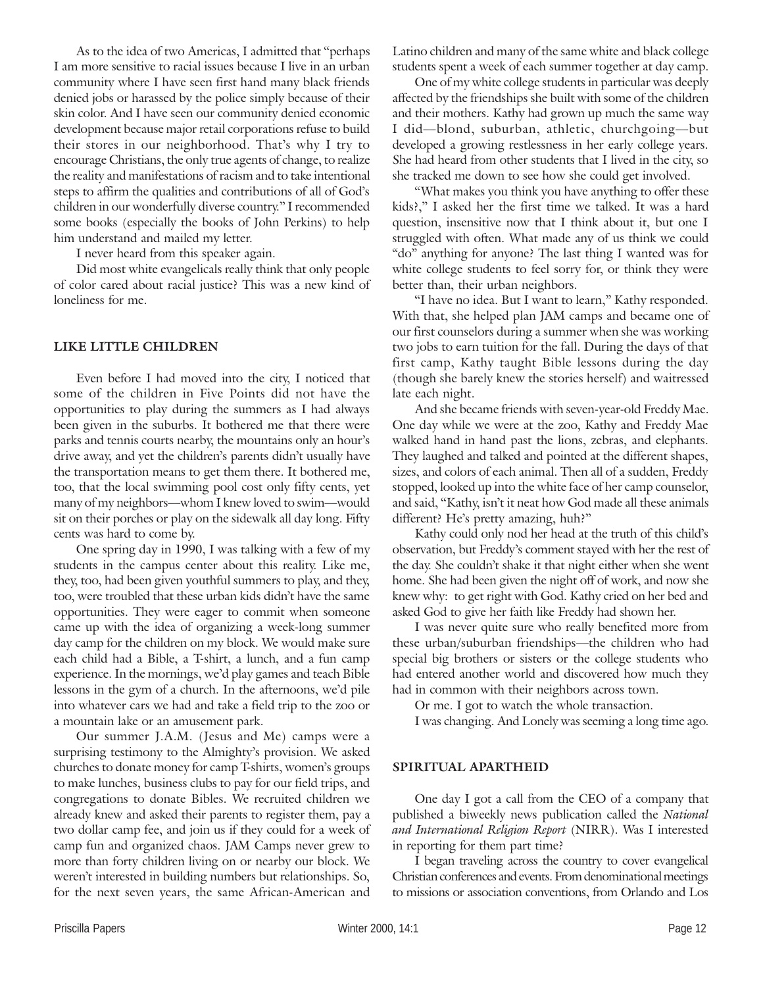As to the idea of two Americas, I admitted that "perhaps I am more sensitive to racial issues because I live in an urban community where I have seen first hand many black friends denied jobs or harassed by the police simply because of their skin color. And I have seen our community denied economic development because major retail corporations refuse to build their stores in our neighborhood. That's why I try to encourage Christians, the only true agents of change, to realize the reality and manifestations of racism and to take intentional steps to affirm the qualities and contributions of all of God's children in our wonderfully diverse country." I recommended some books (especially the books of John Perkins) to help him understand and mailed my letter.

I never heard from this speaker again.

Did most white evangelicals really think that only people of color cared about racial justice? This was a new kind of loneliness for me.

#### **LIKE LITTLE CHILDREN**

Even before I had moved into the city, I noticed that some of the children in Five Points did not have the opportunities to play during the summers as I had always been given in the suburbs. It bothered me that there were parks and tennis courts nearby, the mountains only an hour's drive away, and yet the children's parents didn't usually have the transportation means to get them there. It bothered me, too, that the local swimming pool cost only fifty cents, yet many of my neighbors—whom I knew loved to swim—would sit on their porches or play on the sidewalk all day long. Fifty cents was hard to come by.

One spring day in 1990, I was talking with a few of my students in the campus center about this reality. Like me, they, too, had been given youthful summers to play, and they, too, were troubled that these urban kids didn't have the same opportunities. They were eager to commit when someone came up with the idea of organizing a week-long summer day camp for the children on my block. We would make sure each child had a Bible, a T-shirt, a lunch, and a fun camp experience. In the mornings, we'd play games and teach Bible lessons in the gym of a church. In the afternoons, we'd pile into whatever cars we had and take a field trip to the zoo or a mountain lake or an amusement park.

Our summer J.A.M. (Jesus and Me) camps were a surprising testimony to the Almighty's provision. We asked churches to donate money for camp T-shirts, women's groups to make lunches, business clubs to pay for our field trips, and congregations to donate Bibles. We recruited children we already knew and asked their parents to register them, pay a two dollar camp fee, and join us if they could for a week of camp fun and organized chaos. JAM Camps never grew to more than forty children living on or nearby our block. We weren't interested in building numbers but relationships. So, for the next seven years, the same African-American and

Latino children and many of the same white and black college students spent a week of each summer together at day camp.

One of my white college students in particular was deeply affected by the friendships she built with some of the children and their mothers. Kathy had grown up much the same way I did—blond, suburban, athletic, churchgoing—but developed a growing restlessness in her early college years. She had heard from other students that I lived in the city, so she tracked me down to see how she could get involved.

"What makes you think you have anything to offer these kids?," I asked her the first time we talked. It was a hard question, insensitive now that I think about it, but one I struggled with often. What made any of us think we could "do" anything for anyone? The last thing I wanted was for white college students to feel sorry for, or think they were better than, their urban neighbors.

"I have no idea. But I want to learn," Kathy responded. With that, she helped plan JAM camps and became one of our first counselors during a summer when she was working two jobs to earn tuition for the fall. During the days of that first camp, Kathy taught Bible lessons during the day (though she barely knew the stories herself) and waitressed late each night.

And she became friends with seven-year-old Freddy Mae. One day while we were at the zoo, Kathy and Freddy Mae walked hand in hand past the lions, zebras, and elephants. They laughed and talked and pointed at the different shapes, sizes, and colors of each animal. Then all of a sudden, Freddy stopped, looked up into the white face of her camp counselor, and said, "Kathy, isn't it neat how God made all these animals different? He's pretty amazing, huh?"

Kathy could only nod her head at the truth of this child's observation, but Freddy's comment stayed with her the rest of the day. She couldn't shake it that night either when she went home. She had been given the night off of work, and now she knew why: to get right with God. Kathy cried on her bed and asked God to give her faith like Freddy had shown her.

I was never quite sure who really benefited more from these urban/suburban friendships—the children who had special big brothers or sisters or the college students who had entered another world and discovered how much they had in common with their neighbors across town.

Or me. I got to watch the whole transaction.

I was changing. And Lonely was seeming a long time ago.

#### **SPIRITUAL APARTHEID**

One day I got a call from the CEO of a company that published a biweekly news publication called the *National and International Religion Report* (NIRR). Was I interested in reporting for them part time?

I began traveling across the country to cover evangelical Christian conferences and events. From denominational meetings to missions or association conventions, from Orlando and Los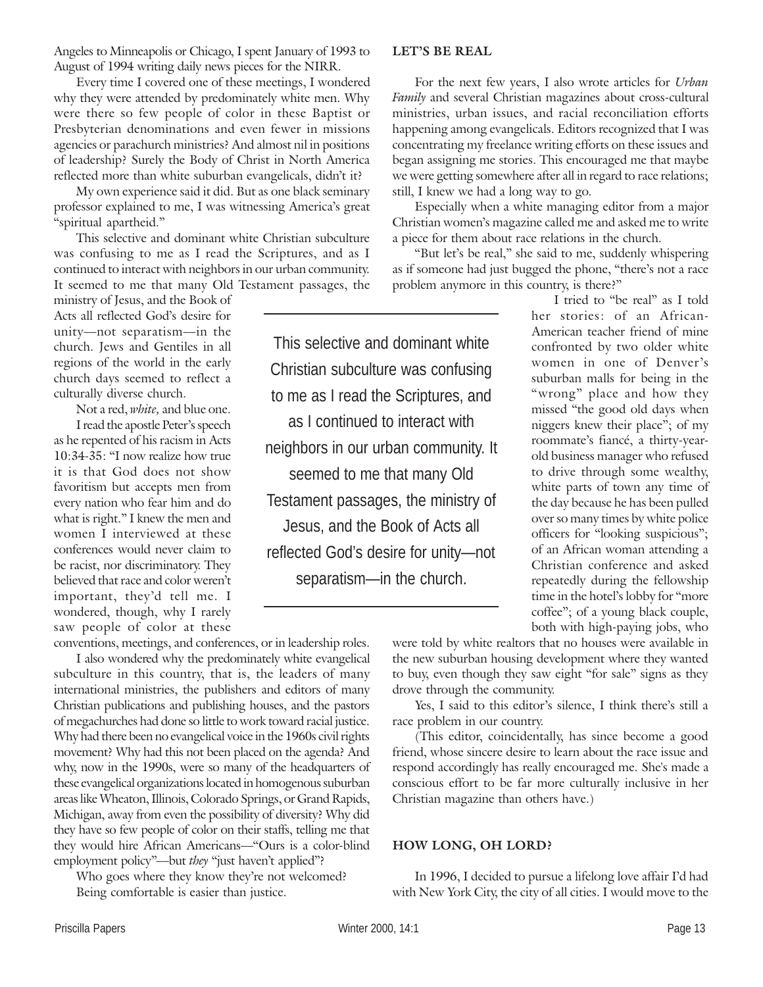Angeles to Minneapolis or Chicago, I spent January of 1993 to August of 1994 writing daily news pieces for the NIRR.

Every time I covered one of these meetings, I wondered why they were attended by predominately white men. Why were there so few people of color in these Baptist or Presbyterian denominations and even fewer in missions agencies or parachurch ministries? And almost nil in positions of leadership? Surely the Body of Christ in North America reflected more than white suburban evangelicals, didn't it?

My own experience said it did. But as one black seminary professor explained to me, I was witnessing America's great "spiritual apartheid."

This selective and dominant white Christian subculture was confusing to me as I read the Scriptures, and as I continued to interact with neighbors in our urban community. It seemed to me that many Old Testament passages, the

ministry of Jesus, and the Book of Acts all reflected God's desire for unity—not separatism—in the church. Jews and Gentiles in all regions of the world in the early church days seemed to reflect a culturally diverse church.

Not a red, *white,* and blue one.

I read the apostle Peter's speech as he repented of his racism in Acts 10:34-35: "I now realize how true it is that God does not show favoritism but accepts men from every nation who fear him and do what is right." I knew the men and women I interviewed at these conferences would never claim to be racist, nor discriminatory. They believed that race and color weren't important, they'd tell me. I wondered, though, why I rarely saw people of color at these

conventions, meetings, and conferences, or in leadership roles. I also wondered why the predominately white evangelical subculture in this country, that is, the leaders of many international ministries, the publishers and editors of many Christian publications and publishing houses, and the pastors of megachurches had done so little to work toward racial justice. Why had there been no evangelical voice in the 1960s civil rights movement? Why had this not been placed on the agenda? And why, now in the 1990s, were so many of the headquarters of these evangelical organizations located in homogenous suburban areas like Wheaton, Illinois, Colorado Springs, or Grand Rapids, Michigan, away from even the possibility of diversity? Why did they have so few people of color on their staffs, telling me that they would hire African Americans—"Ours is a color-blind employment policy"—but *they* "just haven't applied"?

Who goes where they know they're not welcomed? Being comfortable is easier than justice.

**LET'S BE REAL**

This selective and dominant white

Christian subculture was confusing

to me as I read the Scriptures, and as I continued to interact with

neighbors in our urban community. It

seemed to me that many Old

Testament passages, the ministry of

Jesus, and the Book of Acts all

reflected God's desire for unity—not

separatism—in the church.

For the next few years, I also wrote articles for *Urban Family* and several Christian magazines about cross-cultural ministries, urban issues, and racial reconciliation efforts happening among evangelicals. Editors recognized that I was concentrating my freelance writing efforts on these issues and began assigning me stories. This encouraged me that maybe we were getting somewhere after all in regard to race relations; still, I knew we had a long way to go.

Especially when a white managing editor from a major Christian women's magazine called me and asked me to write a piece for them about race relations in the church.

"But let's be real," she said to me, suddenly whispering as if someone had just bugged the phone, "there's not a race problem anymore in this country, is there?"

> I tried to "be real" as I told her stories: of an African-American teacher friend of mine confronted by two older white women in one of Denver's suburban malls for being in the "wrong" place and how they missed "the good old days when niggers knew their place"; of my roommate's fiancé, a thirty-yearold business manager who refused to drive through some wealthy, white parts of town any time of the day because he has been pulled over so many times by white police officers for "looking suspicious"; of an African woman attending a Christian conference and asked repeatedly during the fellowship time in the hotel's lobby for "more coffee"; of a young black couple, both with high-paying jobs, who

were told by white realtors that no houses were available in the new suburban housing development where they wanted to buy, even though they saw eight "for sale" signs as they drove through the community.

Yes, I said to this editor's silence, I think there's still a race problem in our country.

(This editor, coincidentally, has since become a good friend, whose sincere desire to learn about the race issue and respond accordingly has really encouraged me. She's made a conscious effort to be far more culturally inclusive in her Christian magazine than others have.)

#### **HOW LONG, OH LORD?**

In 1996, I decided to pursue a lifelong love affair I'd had with New York City, the city of all cities. I would move to the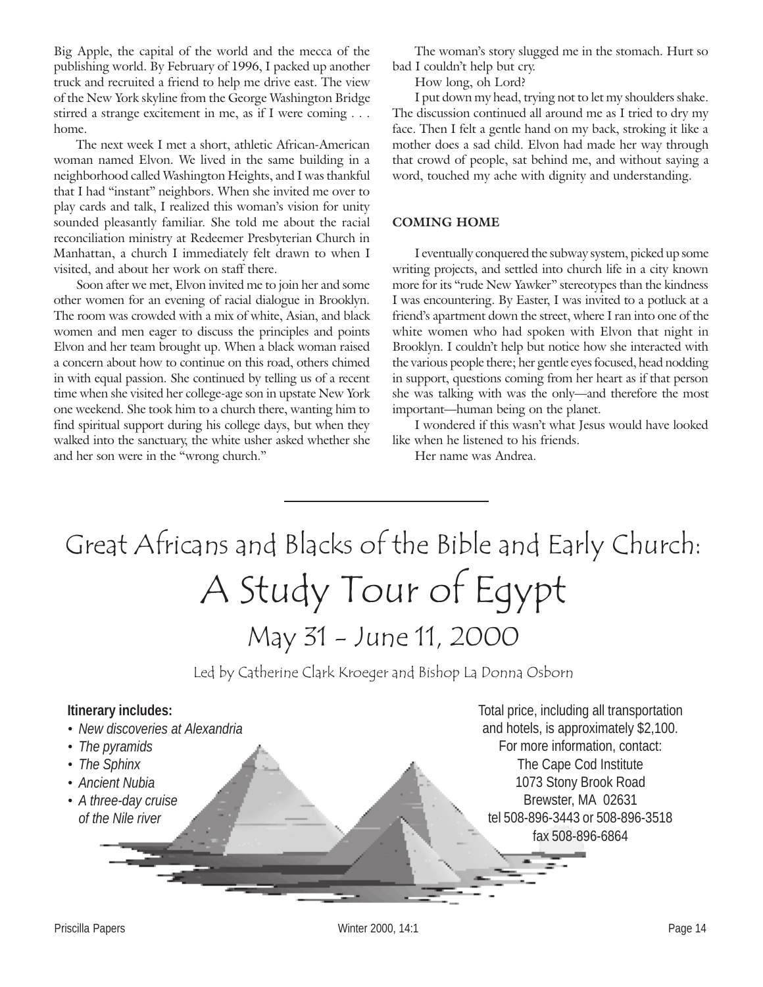Big Apple, the capital of the world and the mecca of the publishing world. By February of 1996, I packed up another truck and recruited a friend to help me drive east. The view of the New York skyline from the George Washington Bridge stirred a strange excitement in me, as if I were coming . . . home.

The next week I met a short, athletic African-American woman named Elvon. We lived in the same building in a neighborhood called Washington Heights, and I was thankful that I had "instant" neighbors. When she invited me over to play cards and talk, I realized this woman's vision for unity sounded pleasantly familiar. She told me about the racial reconciliation ministry at Redeemer Presbyterian Church in Manhattan, a church I immediately felt drawn to when I visited, and about her work on staff there.

Soon after we met, Elvon invited me to join her and some other women for an evening of racial dialogue in Brooklyn. The room was crowded with a mix of white, Asian, and black women and men eager to discuss the principles and points Elvon and her team brought up. When a black woman raised a concern about how to continue on this road, others chimed in with equal passion. She continued by telling us of a recent time when she visited her college-age son in upstate New York one weekend. She took him to a church there, wanting him to find spiritual support during his college days, but when they walked into the sanctuary, the white usher asked whether she and her son were in the "wrong church."

The woman's story slugged me in the stomach. Hurt so bad I couldn't help but cry.

How long, oh Lord?

I put down my head, trying not to let my shoulders shake. The discussion continued all around me as I tried to dry my face. Then I felt a gentle hand on my back, stroking it like a mother does a sad child. Elvon had made her way through that crowd of people, sat behind me, and without saying a word, touched my ache with dignity and understanding.

#### **COMING HOME**

I eventually conquered the subway system, picked up some writing projects, and settled into church life in a city known more for its "rude New Yawker" stereotypes than the kindness I was encountering. By Easter, I was invited to a potluck at a friend's apartment down the street, where I ran into one of the white women who had spoken with Elvon that night in Brooklyn. I couldn't help but notice how she interacted with the various people there; her gentle eyes focused, head nodding in support, questions coming from her heart as if that person she was talking with was the only—and therefore the most important—human being on the planet.

I wondered if this wasn't what Jesus would have looked like when he listened to his friends.

Her name was Andrea.

# Great Africans and Blacks of the Bible and Early Church: A Study Tour of Egypt

# May 31 - June 11, 2000

Led by Catherine Clark Kroeger and Bishop La Donna Osborn

#### **Itinerary includes:**

- *• New discoveries at Alexandria*
- *• The pyramids*
- *• The Sphinx*
- *• Ancient Nubia*
- *• A three-day cruise of the Nile river*

Total price, including all transportation and hotels, is approximately \$2,100. For more information, contact: The Cape Cod Institute 1073 Stony Brook Road Brewster, MA 02631 tel 508-896-3443 or 508-896-3518 fax 508-896-6864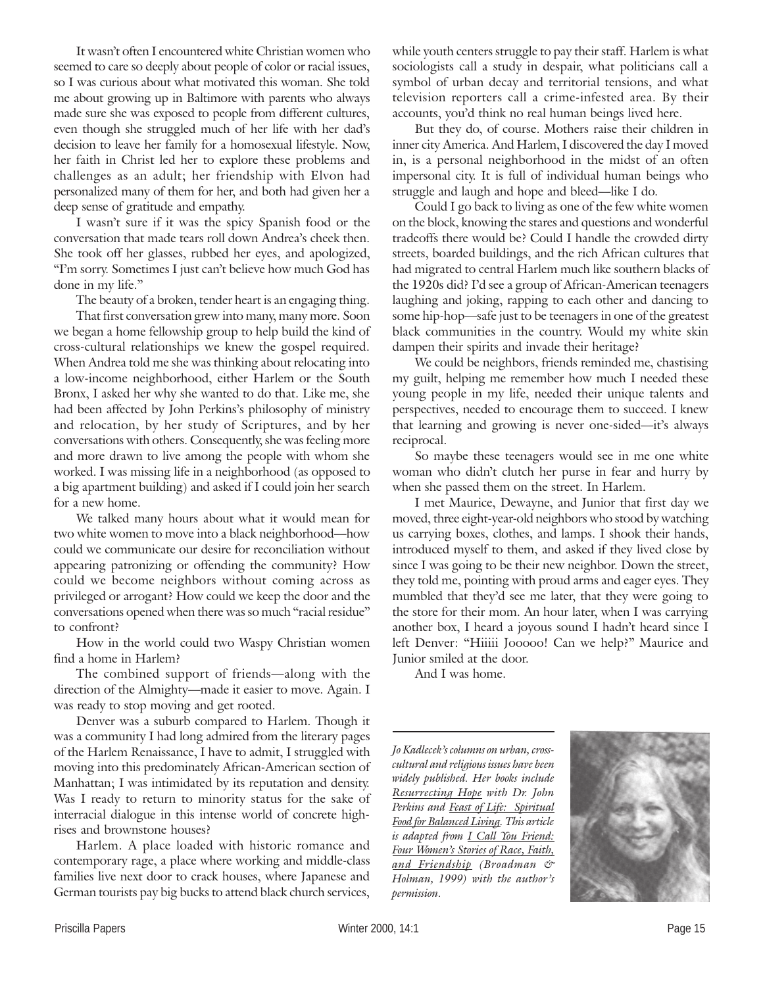It wasn't often I encountered white Christian women who seemed to care so deeply about people of color or racial issues, so I was curious about what motivated this woman. She told me about growing up in Baltimore with parents who always made sure she was exposed to people from different cultures, even though she struggled much of her life with her dad's decision to leave her family for a homosexual lifestyle. Now, her faith in Christ led her to explore these problems and challenges as an adult; her friendship with Elvon had personalized many of them for her, and both had given her a deep sense of gratitude and empathy.

I wasn't sure if it was the spicy Spanish food or the conversation that made tears roll down Andrea's cheek then. She took off her glasses, rubbed her eyes, and apologized, "I'm sorry. Sometimes I just can't believe how much God has done in my life."

The beauty of a broken, tender heart is an engaging thing.

That first conversation grew into many, many more. Soon we began a home fellowship group to help build the kind of cross-cultural relationships we knew the gospel required. When Andrea told me she was thinking about relocating into a low-income neighborhood, either Harlem or the South Bronx, I asked her why she wanted to do that. Like me, she had been affected by John Perkins's philosophy of ministry and relocation, by her study of Scriptures, and by her conversations with others. Consequently, she was feeling more and more drawn to live among the people with whom she worked. I was missing life in a neighborhood (as opposed to a big apartment building) and asked if I could join her search for a new home.

We talked many hours about what it would mean for two white women to move into a black neighborhood—how could we communicate our desire for reconciliation without appearing patronizing or offending the community? How could we become neighbors without coming across as privileged or arrogant? How could we keep the door and the conversations opened when there was so much "racial residue" to confront?

How in the world could two Waspy Christian women find a home in Harlem?

The combined support of friends—along with the direction of the Almighty—made it easier to move. Again. I was ready to stop moving and get rooted.

Denver was a suburb compared to Harlem. Though it was a community I had long admired from the literary pages of the Harlem Renaissance, I have to admit, I struggled with moving into this predominately African-American section of Manhattan; I was intimidated by its reputation and density. Was I ready to return to minority status for the sake of interracial dialogue in this intense world of concrete highrises and brownstone houses?

Harlem. A place loaded with historic romance and contemporary rage, a place where working and middle-class families live next door to crack houses, where Japanese and German tourists pay big bucks to attend black church services,

while youth centers struggle to pay their staff. Harlem is what sociologists call a study in despair, what politicians call a symbol of urban decay and territorial tensions, and what television reporters call a crime-infested area. By their accounts, you'd think no real human beings lived here.

But they do, of course. Mothers raise their children in inner city America. And Harlem, I discovered the day I moved in, is a personal neighborhood in the midst of an often impersonal city. It is full of individual human beings who struggle and laugh and hope and bleed—like I do.

Could I go back to living as one of the few white women on the block, knowing the stares and questions and wonderful tradeoffs there would be? Could I handle the crowded dirty streets, boarded buildings, and the rich African cultures that had migrated to central Harlem much like southern blacks of the 1920s did? I'd see a group of African-American teenagers laughing and joking, rapping to each other and dancing to some hip-hop—safe just to be teenagers in one of the greatest black communities in the country. Would my white skin dampen their spirits and invade their heritage?

We could be neighbors, friends reminded me, chastising my guilt, helping me remember how much I needed these young people in my life, needed their unique talents and perspectives, needed to encourage them to succeed. I knew that learning and growing is never one-sided—it's always reciprocal.

So maybe these teenagers would see in me one white woman who didn't clutch her purse in fear and hurry by when she passed them on the street. In Harlem.

I met Maurice, Dewayne, and Junior that first day we moved, three eight-year-old neighbors who stood by watching us carrying boxes, clothes, and lamps. I shook their hands, introduced myself to them, and asked if they lived close by since I was going to be their new neighbor. Down the street, they told me, pointing with proud arms and eager eyes. They mumbled that they'd see me later, that they were going to the store for their mom. An hour later, when I was carrying another box, I heard a joyous sound I hadn't heard since I left Denver: "Hiiiii Jooooo! Can we help?" Maurice and Junior smiled at the door.

And I was home.

*Jo Kadlecek's columns on urban, crosscultural and religious issues have been widely published. Her books include Resurrecting Hope with Dr. John Perkins and Feast of Life: Spiritual Food for Balanced Living. This article is adapted from I Call You Friend: Four Women's Stories of Race, Faith, and Friendship (Broadman & Holman, 1999) with the author's permission.*

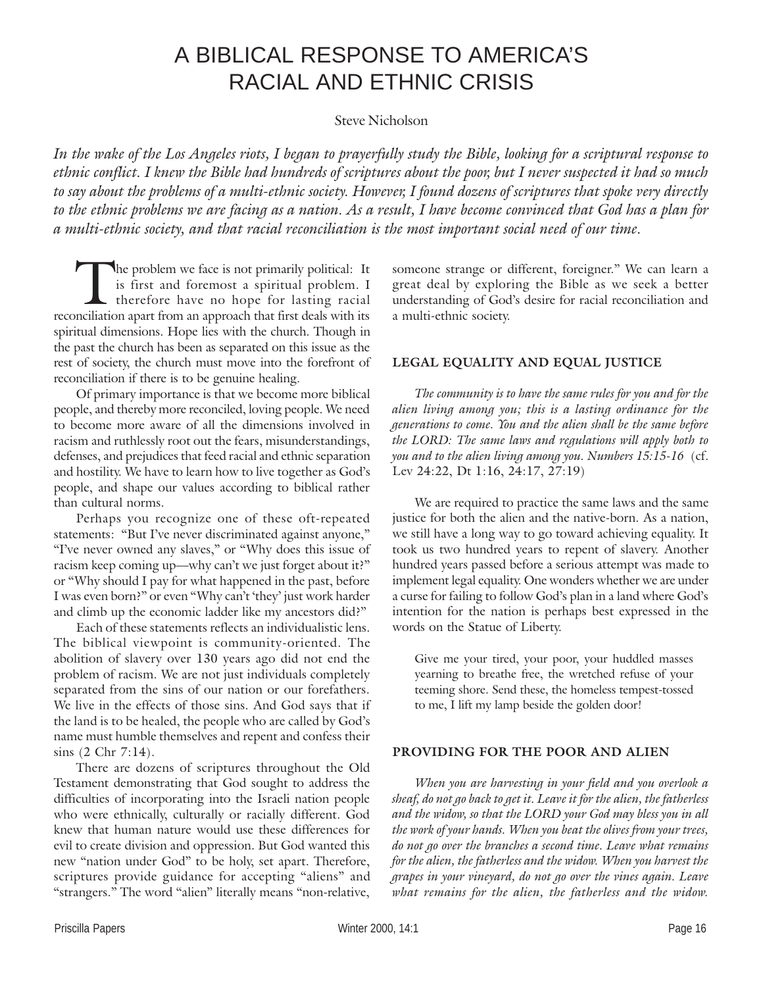# A BIBLICAL RESPONSE TO AMERICA'S RACIAL AND ETHNIC CRISIS

#### Steve Nicholson

*In the wake of the Los Angeles riots, I began to prayerfully study the Bible, looking for a scriptural response to ethnic conflict. I knew the Bible had hundreds of scriptures about the poor, but I never suspected it had so much to say about the problems of a multi-ethnic society. However, I found dozens of scriptures that spoke very directly to the ethnic problems we are facing as a nation. As a result, I have become convinced that God has a plan for a multi-ethnic society, and that racial reconciliation is the most important social need of our time.*

The problem we face is not primarily political: It<br>is first and foremost a spiritual problem. If<br>therefore have no hope for lasting racial<br>nciliation apart from an approach that first deals with its is first and foremost a spiritual problem. I therefore have no hope for lasting racial reconciliation apart from an approach that first deals with its spiritual dimensions. Hope lies with the church. Though in the past the church has been as separated on this issue as the rest of society, the church must move into the forefront of reconciliation if there is to be genuine healing.

Of primary importance is that we become more biblical people, and thereby more reconciled, loving people. We need to become more aware of all the dimensions involved in racism and ruthlessly root out the fears, misunderstandings, defenses, and prejudices that feed racial and ethnic separation and hostility. We have to learn how to live together as God's people, and shape our values according to biblical rather than cultural norms.

Perhaps you recognize one of these oft-repeated statements: "But I've never discriminated against anyone," "I've never owned any slaves," or "Why does this issue of racism keep coming up—why can't we just forget about it?" or "Why should I pay for what happened in the past, before I was even born?" or even "Why can't 'they' just work harder and climb up the economic ladder like my ancestors did?"

Each of these statements reflects an individualistic lens. The biblical viewpoint is community-oriented. The abolition of slavery over 130 years ago did not end the problem of racism. We are not just individuals completely separated from the sins of our nation or our forefathers. We live in the effects of those sins. And God says that if the land is to be healed, the people who are called by God's name must humble themselves and repent and confess their sins (2 Chr 7:14).

There are dozens of scriptures throughout the Old Testament demonstrating that God sought to address the difficulties of incorporating into the Israeli nation people who were ethnically, culturally or racially different. God knew that human nature would use these differences for evil to create division and oppression. But God wanted this new "nation under God" to be holy, set apart. Therefore, scriptures provide guidance for accepting "aliens" and "strangers." The word "alien" literally means "non-relative,

someone strange or different, foreigner." We can learn a great deal by exploring the Bible as we seek a better understanding of God's desire for racial reconciliation and a multi-ethnic society.

#### **LEGAL EQUALITY AND EQUAL JUSTICE**

*The community is to have the same rules for you and for the alien living among you; this is a lasting ordinance for the generations to come. You and the alien shall be the same before the LORD: The same laws and regulations will apply both to you and to the alien living among you. Numbers 15:15-16* (cf. Lev 24:22, Dt 1:16, 24:17, 27:19)

We are required to practice the same laws and the same justice for both the alien and the native-born. As a nation, we still have a long way to go toward achieving equality. It took us two hundred years to repent of slavery. Another hundred years passed before a serious attempt was made to implement legal equality. One wonders whether we are under a curse for failing to follow God's plan in a land where God's intention for the nation is perhaps best expressed in the words on the Statue of Liberty.

Give me your tired, your poor, your huddled masses yearning to breathe free, the wretched refuse of your teeming shore. Send these, the homeless tempest-tossed to me, I lift my lamp beside the golden door!

#### **PROVIDING FOR THE POOR AND ALIEN**

*When you are harvesting in your field and you overlook a sheaf, do not go back to get it. Leave it for the alien, the fatherless and the widow, so that the LORD your God may bless you in all the work of your hands. When you beat the olives from your trees, do not go over the branches a second time. Leave what remains for the alien, the fatherless and the widow. When you harvest the grapes in your vineyard, do not go over the vines again. Leave what remains for the alien, the fatherless and the widow.*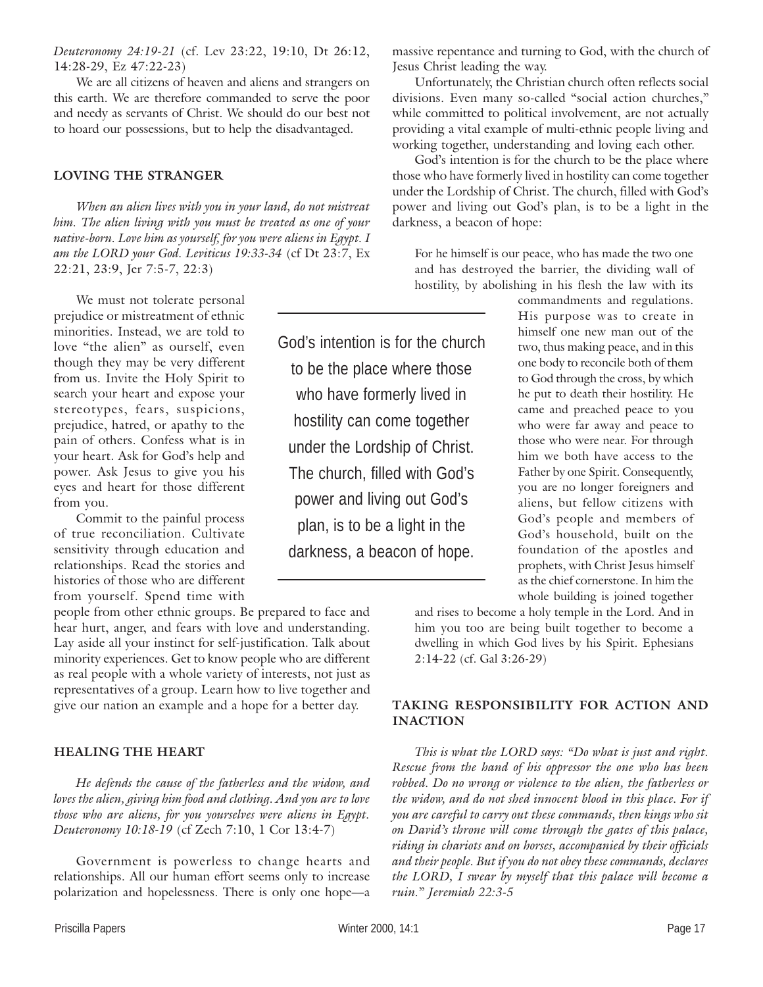*Deuteronomy 24:19-21* (cf. Lev 23:22, 19:10, Dt 26:12, 14:28-29, Ez 47:22-23)

We are all citizens of heaven and aliens and strangers on this earth. We are therefore commanded to serve the poor and needy as servants of Christ. We should do our best not to hoard our possessions, but to help the disadvantaged.

#### **LOVING THE STRANGER**

*When an alien lives with you in your land, do not mistreat him. The alien living with you must be treated as one of your native-born. Love him as yourself, for you were aliens in Egypt. I am the LORD your God. Leviticus 19:33-34* (cf Dt 23:7, Ex 22:21, 23:9, Jer 7:5-7, 22:3)

We must not tolerate personal prejudice or mistreatment of ethnic minorities. Instead, we are told to love "the alien" as ourself, even though they may be very different from us. Invite the Holy Spirit to search your heart and expose your stereotypes, fears, suspicions, prejudice, hatred, or apathy to the pain of others. Confess what is in your heart. Ask for God's help and power. Ask Jesus to give you his eyes and heart for those different from you.

Commit to the painful process of true reconciliation. Cultivate sensitivity through education and relationships. Read the stories and histories of those who are different from yourself. Spend time with

people from other ethnic groups. Be prepared to face and hear hurt, anger, and fears with love and understanding. Lay aside all your instinct for self-justification. Talk about minority experiences. Get to know people who are different as real people with a whole variety of interests, not just as representatives of a group. Learn how to live together and give our nation an example and a hope for a better day.

#### **HEALING THE HEART**

*He defends the cause of the fatherless and the widow, and loves the alien, giving him food and clothing. And you are to love those who are aliens, for you yourselves were aliens in Egypt. Deuteronomy 10:18-19* (cf Zech 7:10, 1 Cor 13:4-7)

Government is powerless to change hearts and relationships. All our human effort seems only to increase polarization and hopelessness. There is only one hope—a

massive repentance and turning to God, with the church of Jesus Christ leading the way.

Unfortunately, the Christian church often reflects social divisions. Even many so-called "social action churches," while committed to political involvement, are not actually providing a vital example of multi-ethnic people living and working together, understanding and loving each other.

God's intention is for the church to be the place where those who have formerly lived in hostility can come together under the Lordship of Christ. The church, filled with God's power and living out God's plan, is to be a light in the darkness, a beacon of hope:

For he himself is our peace, who has made the two one and has destroyed the barrier, the dividing wall of hostility, by abolishing in his flesh the law with its

> commandments and regulations. His purpose was to create in himself one new man out of the two, thus making peace, and in this one body to reconcile both of them to God through the cross, by which he put to death their hostility. He came and preached peace to you who were far away and peace to those who were near. For through him we both have access to the Father by one Spirit. Consequently, you are no longer foreigners and aliens, but fellow citizens with God's people and members of God's household, built on the foundation of the apostles and prophets, with Christ Jesus himself as the chief cornerstone. In him the whole building is joined together

and rises to become a holy temple in the Lord. And in him you too are being built together to become a dwelling in which God lives by his Spirit. Ephesians 2:14-22 (cf. Gal 3:26-29)

#### **TAKING RESPONSIBILITY FOR ACTION AND INACTION**

*This is what the LORD says: "Do what is just and right. Rescue from the hand of his oppressor the one who has been robbed. Do no wrong or violence to the alien, the fatherless or the widow, and do not shed innocent blood in this place. For if you are careful to carry out these commands, then kings who sit on David's throne will come through the gates of this palace, riding in chariots and on horses, accompanied by their officials and their people. But if you do not obey these commands, declares the LORD, I swear by myself that this palace will become a ruin.*" *Jeremiah 22:3-5*

God's intention is for the church

to be the place where those

who have formerly lived in

hostility can come together

under the Lordship of Christ.

The church, filled with God's

power and living out God's

plan, is to be a light in the

darkness, a beacon of hope.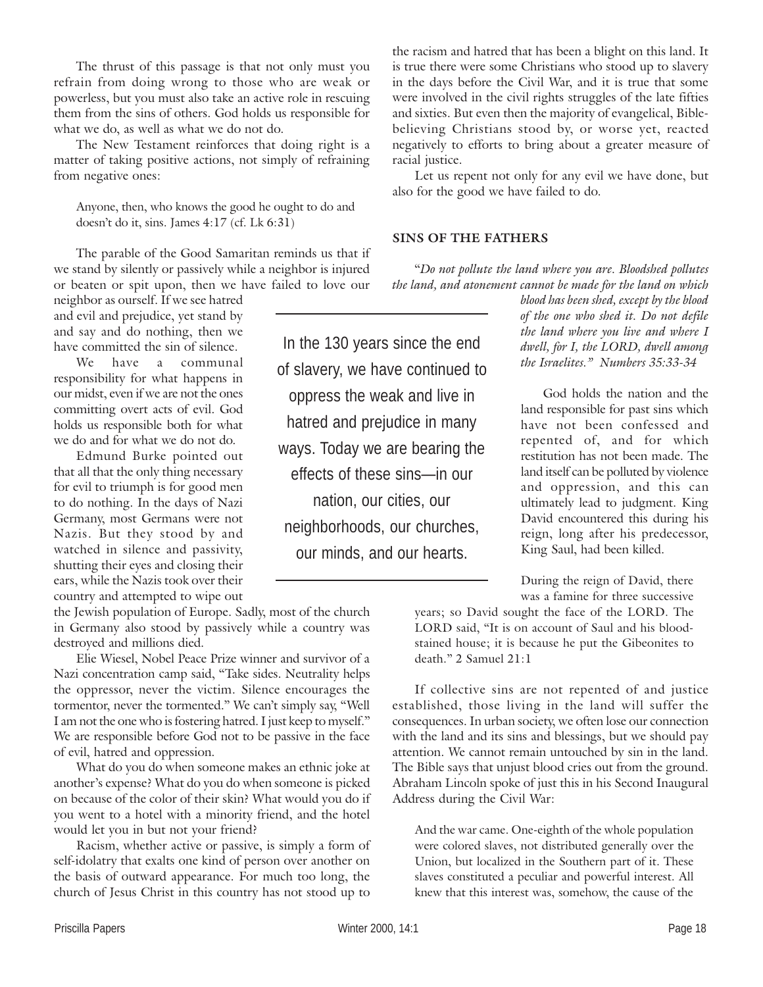The thrust of this passage is that not only must you refrain from doing wrong to those who are weak or powerless, but you must also take an active role in rescuing them from the sins of others. God holds us responsible for what we do, as well as what we do not do.

The New Testament reinforces that doing right is a matter of taking positive actions, not simply of refraining from negative ones:

Anyone, then, who knows the good he ought to do and doesn't do it, sins. James 4:17 (cf. Lk 6:31)

The parable of the Good Samaritan reminds us that if we stand by silently or passively while a neighbor is injured or beaten or spit upon, then we have failed to love our

neighbor as ourself. If we see hatred and evil and prejudice, yet stand by and say and do nothing, then we have committed the sin of silence.

We have a communal responsibility for what happens in our midst, even if we are not the ones committing overt acts of evil. God holds us responsible both for what we do and for what we do not do.

Edmund Burke pointed out that all that the only thing necessary for evil to triumph is for good men to do nothing. In the days of Nazi Germany, most Germans were not Nazis. But they stood by and watched in silence and passivity, shutting their eyes and closing their ears, while the Nazis took over their country and attempted to wipe out

the Jewish population of Europe. Sadly, most of the church in Germany also stood by passively while a country was destroyed and millions died.

Elie Wiesel, Nobel Peace Prize winner and survivor of a Nazi concentration camp said, "Take sides. Neutrality helps the oppressor, never the victim. Silence encourages the tormentor, never the tormented." We can't simply say, "Well I am not the one who is fostering hatred. I just keep to myself." We are responsible before God not to be passive in the face of evil, hatred and oppression.

What do you do when someone makes an ethnic joke at another's expense? What do you do when someone is picked on because of the color of their skin? What would you do if you went to a hotel with a minority friend, and the hotel would let you in but not your friend?

Racism, whether active or passive, is simply a form of self-idolatry that exalts one kind of person over another on the basis of outward appearance. For much too long, the church of Jesus Christ in this country has not stood up to

In the 130 years since the end of slavery, we have continued to oppress the weak and live in hatred and prejudice in many ways. Today we are bearing the effects of these sins—in our nation, our cities, our neighborhoods, our churches, our minds, and our hearts.

the racism and hatred that has been a blight on this land. It is true there were some Christians who stood up to slavery in the days before the Civil War, and it is true that some were involved in the civil rights struggles of the late fifties and sixties. But even then the majority of evangelical, Biblebelieving Christians stood by, or worse yet, reacted negatively to efforts to bring about a greater measure of racial justice.

Let us repent not only for any evil we have done, but also for the good we have failed to do.

#### **SINS OF THE FATHERS**

"*Do not pollute the land where you are. Bloodshed pollutes the land, and atonement cannot be made for the land on which*

*blood has been shed, except by the blood of the one who shed it. Do not defile the land where you live and where I dwell, for I, the LORD, dwell among the Israelites." Numbers 35:33-34*

God holds the nation and the land responsible for past sins which have not been confessed and repented of, and for which restitution has not been made. The land itself can be polluted by violence and oppression, and this can ultimately lead to judgment. King David encountered this during his reign, long after his predecessor, King Saul, had been killed.

During the reign of David, there was a famine for three successive

years; so David sought the face of the LORD. The LORD said, "It is on account of Saul and his bloodstained house; it is because he put the Gibeonites to death." 2 Samuel 21:1

If collective sins are not repented of and justice established, those living in the land will suffer the consequences. In urban society, we often lose our connection with the land and its sins and blessings, but we should pay attention. We cannot remain untouched by sin in the land. The Bible says that unjust blood cries out from the ground. Abraham Lincoln spoke of just this in his Second Inaugural Address during the Civil War:

And the war came. One-eighth of the whole population were colored slaves, not distributed generally over the Union, but localized in the Southern part of it. These slaves constituted a peculiar and powerful interest. All knew that this interest was, somehow, the cause of the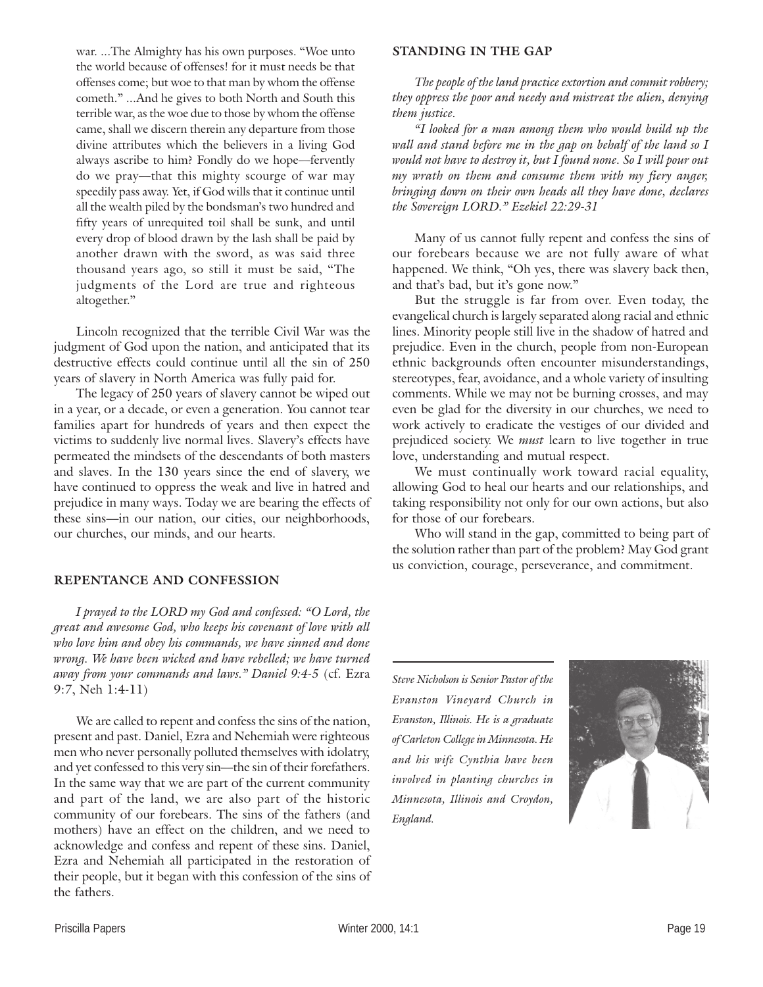war. ...The Almighty has his own purposes. "Woe unto the world because of offenses! for it must needs be that offenses come; but woe to that man by whom the offense cometh." ...And he gives to both North and South this terrible war, as the woe due to those by whom the offense came, shall we discern therein any departure from those divine attributes which the believers in a living God always ascribe to him? Fondly do we hope—fervently do we pray—that this mighty scourge of war may speedily pass away. Yet, if God wills that it continue until all the wealth piled by the bondsman's two hundred and fifty years of unrequited toil shall be sunk, and until every drop of blood drawn by the lash shall be paid by another drawn with the sword, as was said three thousand years ago, so still it must be said, "The judgments of the Lord are true and righteous altogether."

Lincoln recognized that the terrible Civil War was the judgment of God upon the nation, and anticipated that its destructive effects could continue until all the sin of 250 years of slavery in North America was fully paid for.

The legacy of 250 years of slavery cannot be wiped out in a year, or a decade, or even a generation. You cannot tear families apart for hundreds of years and then expect the victims to suddenly live normal lives. Slavery's effects have permeated the mindsets of the descendants of both masters and slaves. In the 130 years since the end of slavery, we have continued to oppress the weak and live in hatred and prejudice in many ways. Today we are bearing the effects of these sins—in our nation, our cities, our neighborhoods, our churches, our minds, and our hearts.

#### **REPENTANCE AND CONFESSION**

*I prayed to the LORD my God and confessed: "O Lord, the great and awesome God, who keeps his covenant of love with all who love him and obey his commands, we have sinned and done wrong. We have been wicked and have rebelled; we have turned away from your commands and laws." Daniel 9:4-5* (cf. Ezra 9:7, Neh 1:4-11)

We are called to repent and confess the sins of the nation, present and past. Daniel, Ezra and Nehemiah were righteous men who never personally polluted themselves with idolatry, and yet confessed to this very sin—the sin of their forefathers. In the same way that we are part of the current community and part of the land, we are also part of the historic community of our forebears. The sins of the fathers (and mothers) have an effect on the children, and we need to acknowledge and confess and repent of these sins. Daniel, Ezra and Nehemiah all participated in the restoration of their people, but it began with this confession of the sins of the fathers.

#### **STANDING IN THE GAP**

*The people of the land practice extortion and commit robbery; they oppress the poor and needy and mistreat the alien, denying them justice.*

*"I looked for a man among them who would build up the wall and stand before me in the gap on behalf of the land so I would not have to destroy it, but I found none. So I will pour out my wrath on them and consume them with my fiery anger, bringing down on their own heads all they have done, declares the Sovereign LORD." Ezekiel 22:29-31*

Many of us cannot fully repent and confess the sins of our forebears because we are not fully aware of what happened. We think, "Oh yes, there was slavery back then, and that's bad, but it's gone now."

But the struggle is far from over. Even today, the evangelical church is largely separated along racial and ethnic lines. Minority people still live in the shadow of hatred and prejudice. Even in the church, people from non-European ethnic backgrounds often encounter misunderstandings, stereotypes, fear, avoidance, and a whole variety of insulting comments. While we may not be burning crosses, and may even be glad for the diversity in our churches, we need to work actively to eradicate the vestiges of our divided and prejudiced society. We *must* learn to live together in true love, understanding and mutual respect.

We must continually work toward racial equality, allowing God to heal our hearts and our relationships, and taking responsibility not only for our own actions, but also for those of our forebears.

Who will stand in the gap, committed to being part of the solution rather than part of the problem? May God grant us conviction, courage, perseverance, and commitment.

*Steve Nicholson is Senior Pastor of the Evanston Vineyard Church in Evanston, Illinois. He is a graduate of Carleton College in Minnesota. He and his wife Cynthia have been involved in planting churches in Minnesota, Illinois and Croydon, England.*

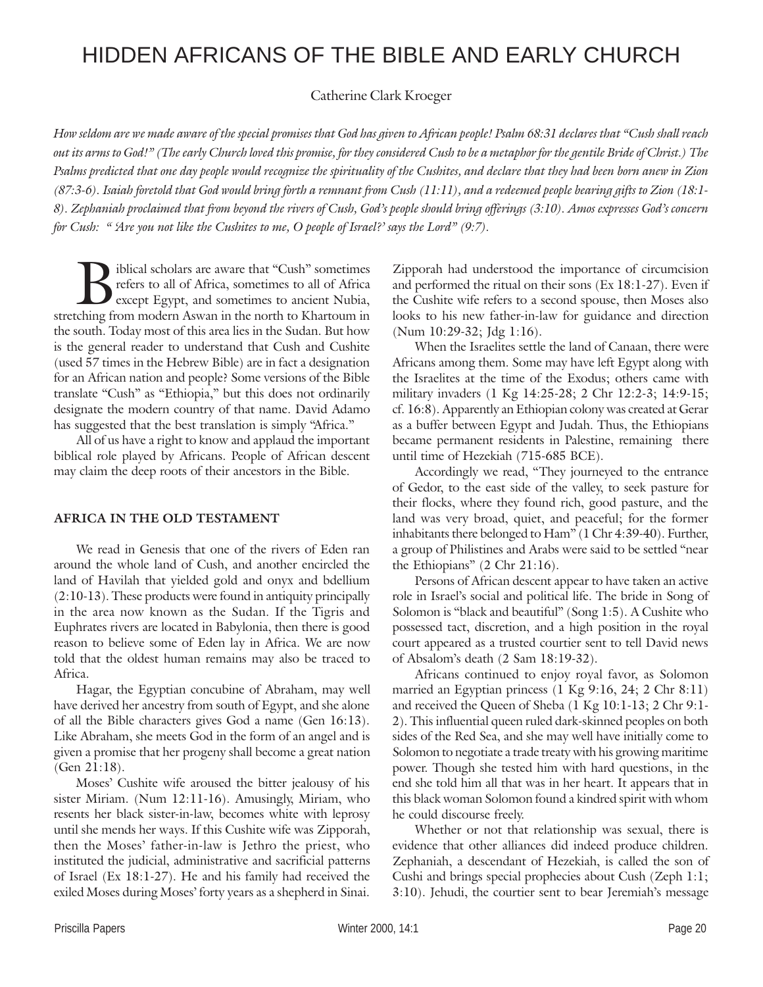# HIDDEN AFRICANS OF THE BIBLE AND EARLY CHURCH

Catherine Clark Kroeger

*How seldom are we made aware of the special promises that God has given to African people! Psalm 68:31 declares that "Cush shall reach out its arms to God!" (The early Church loved this promise, for they considered Cush to be a metaphor for the gentile Bride of Christ.) The Psalms predicted that one day people would recognize the spirituality of the Cushites, and declare that they had been born anew in Zion (87:3-6). Isaiah foretold that God would bring forth a remnant from Cush (11:11), and a redeemed people bearing gifts to Zion (18:1- 8). Zephaniah proclaimed that from beyond the rivers of Cush, God's people should bring offerings (3:10). Amos expresses God's concern for Cush: " 'Are you not like the Cushites to me, O people of Israel?' says the Lord" (9:7).*

**B**iblical scholars are aware that "Cush" sometimes<br>refers to all of Africa, sometimes to all of Africa<br>ching from modern Aswan in the north to Khartoum in refers to all of Africa, sometimes to all of Africa except Egypt, and sometimes to ancient Nubia, stretching from modern Aswan in the north to Khartoum in the south. Today most of this area lies in the Sudan. But how is the general reader to understand that Cush and Cushite (used 57 times in the Hebrew Bible) are in fact a designation for an African nation and people? Some versions of the Bible translate "Cush" as "Ethiopia," but this does not ordinarily designate the modern country of that name. David Adamo has suggested that the best translation is simply "Africa."

All of us have a right to know and applaud the important biblical role played by Africans. People of African descent may claim the deep roots of their ancestors in the Bible.

#### **AFRICA IN THE OLD TESTAMENT**

We read in Genesis that one of the rivers of Eden ran around the whole land of Cush, and another encircled the land of Havilah that yielded gold and onyx and bdellium (2:10-13). These products were found in antiquity principally in the area now known as the Sudan. If the Tigris and Euphrates rivers are located in Babylonia, then there is good reason to believe some of Eden lay in Africa. We are now told that the oldest human remains may also be traced to Africa.

Hagar, the Egyptian concubine of Abraham, may well have derived her ancestry from south of Egypt, and she alone of all the Bible characters gives God a name (Gen 16:13). Like Abraham, she meets God in the form of an angel and is given a promise that her progeny shall become a great nation (Gen 21:18).

Moses' Cushite wife aroused the bitter jealousy of his sister Miriam. (Num 12:11-16). Amusingly, Miriam, who resents her black sister-in-law, becomes white with leprosy until she mends her ways. If this Cushite wife was Zipporah, then the Moses' father-in-law is Jethro the priest, who instituted the judicial, administrative and sacrificial patterns of Israel (Ex 18:1-27). He and his family had received the exiled Moses during Moses' forty years as a shepherd in Sinai.

Zipporah had understood the importance of circumcision and performed the ritual on their sons (Ex 18:1-27). Even if the Cushite wife refers to a second spouse, then Moses also looks to his new father-in-law for guidance and direction (Num 10:29-32; Jdg 1:16).

When the Israelites settle the land of Canaan, there were Africans among them. Some may have left Egypt along with the Israelites at the time of the Exodus; others came with military invaders (1 Kg 14:25-28; 2 Chr 12:2-3; 14:9-15; cf. 16:8). Apparently an Ethiopian colony was created at Gerar as a buffer between Egypt and Judah. Thus, the Ethiopians became permanent residents in Palestine, remaining there until time of Hezekiah (715-685 BCE).

Accordingly we read, "They journeyed to the entrance of Gedor, to the east side of the valley, to seek pasture for their flocks, where they found rich, good pasture, and the land was very broad, quiet, and peaceful; for the former inhabitants there belonged to Ham" (1 Chr 4:39-40). Further, a group of Philistines and Arabs were said to be settled "near the Ethiopians" (2 Chr 21:16).

Persons of African descent appear to have taken an active role in Israel's social and political life. The bride in Song of Solomon is "black and beautiful" (Song 1:5). A Cushite who possessed tact, discretion, and a high position in the royal court appeared as a trusted courtier sent to tell David news of Absalom's death (2 Sam 18:19-32).

Africans continued to enjoy royal favor, as Solomon married an Egyptian princess (1 Kg 9:16, 24; 2 Chr 8:11) and received the Queen of Sheba (1 Kg 10:1-13; 2 Chr 9:1- 2). This influential queen ruled dark-skinned peoples on both sides of the Red Sea, and she may well have initially come to Solomon to negotiate a trade treaty with his growing maritime power. Though she tested him with hard questions, in the end she told him all that was in her heart. It appears that in this black woman Solomon found a kindred spirit with whom he could discourse freely.

Whether or not that relationship was sexual, there is evidence that other alliances did indeed produce children. Zephaniah, a descendant of Hezekiah, is called the son of Cushi and brings special prophecies about Cush (Zeph 1:1; 3:10). Jehudi, the courtier sent to bear Jeremiah's message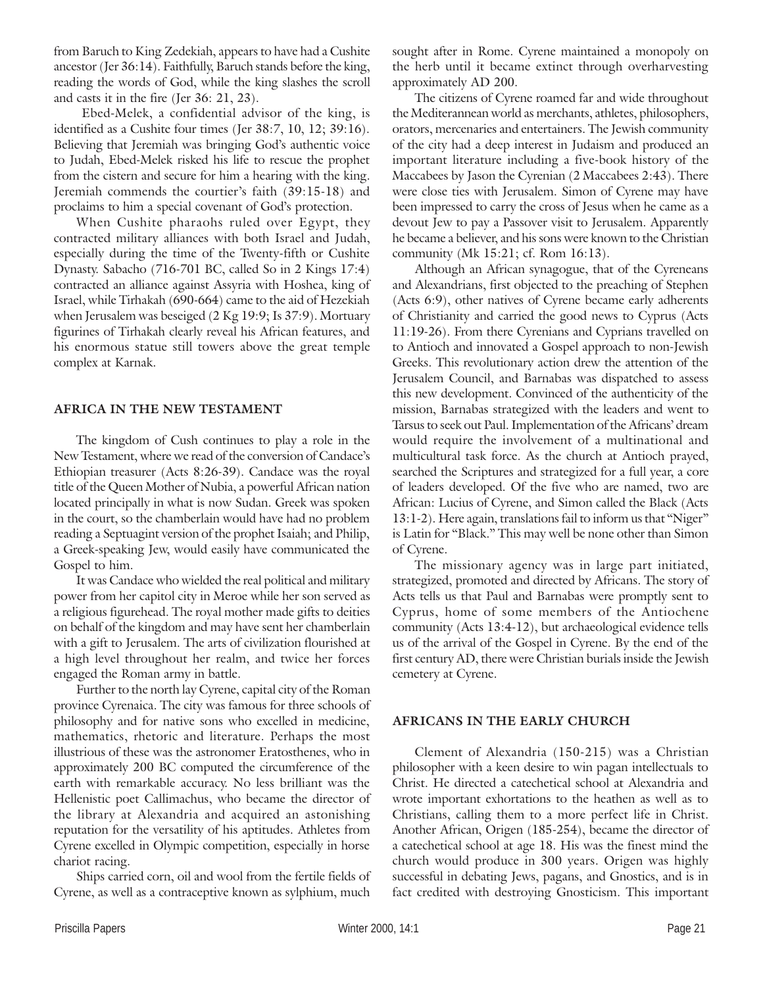from Baruch to King Zedekiah, appears to have had a Cushite ancestor (Jer 36:14). Faithfully, Baruch stands before the king, reading the words of God, while the king slashes the scroll and casts it in the fire (Jer 36: 21, 23).

 Ebed-Melek, a confidential advisor of the king, is identified as a Cushite four times (Jer 38:7, 10, 12; 39:16). Believing that Jeremiah was bringing God's authentic voice to Judah, Ebed-Melek risked his life to rescue the prophet from the cistern and secure for him a hearing with the king. Jeremiah commends the courtier's faith (39:15-18) and proclaims to him a special covenant of God's protection.

When Cushite pharaohs ruled over Egypt, they contracted military alliances with both Israel and Judah, especially during the time of the Twenty-fifth or Cushite Dynasty. Sabacho (716-701 BC, called So in 2 Kings 17:4) contracted an alliance against Assyria with Hoshea, king of Israel, while Tirhakah (690-664) came to the aid of Hezekiah when Jerusalem was beseiged (2 Kg 19:9; Is 37:9). Mortuary figurines of Tirhakah clearly reveal his African features, and his enormous statue still towers above the great temple complex at Karnak.

#### **AFRICA IN THE NEW TESTAMENT**

The kingdom of Cush continues to play a role in the New Testament, where we read of the conversion of Candace's Ethiopian treasurer (Acts 8:26-39). Candace was the royal title of the Queen Mother of Nubia, a powerful African nation located principally in what is now Sudan. Greek was spoken in the court, so the chamberlain would have had no problem reading a Septuagint version of the prophet Isaiah; and Philip, a Greek-speaking Jew, would easily have communicated the Gospel to him.

It was Candace who wielded the real political and military power from her capitol city in Meroe while her son served as a religious figurehead. The royal mother made gifts to deities on behalf of the kingdom and may have sent her chamberlain with a gift to Jerusalem. The arts of civilization flourished at a high level throughout her realm, and twice her forces engaged the Roman army in battle.

Further to the north lay Cyrene, capital city of the Roman province Cyrenaica. The city was famous for three schools of philosophy and for native sons who excelled in medicine, mathematics, rhetoric and literature. Perhaps the most illustrious of these was the astronomer Eratosthenes, who in approximately 200 BC computed the circumference of the earth with remarkable accuracy. No less brilliant was the Hellenistic poet Callimachus, who became the director of the library at Alexandria and acquired an astonishing reputation for the versatility of his aptitudes. Athletes from Cyrene excelled in Olympic competition, especially in horse chariot racing.

Ships carried corn, oil and wool from the fertile fields of Cyrene, as well as a contraceptive known as sylphium, much

sought after in Rome. Cyrene maintained a monopoly on the herb until it became extinct through overharvesting approximately AD 200.

The citizens of Cyrene roamed far and wide throughout the Mediterannean world as merchants, athletes, philosophers, orators, mercenaries and entertainers. The Jewish community of the city had a deep interest in Judaism and produced an important literature including a five-book history of the Maccabees by Jason the Cyrenian (2 Maccabees 2:43). There were close ties with Jerusalem. Simon of Cyrene may have been impressed to carry the cross of Jesus when he came as a devout Jew to pay a Passover visit to Jerusalem. Apparently he became a believer, and his sons were known to the Christian community (Mk 15:21; cf. Rom 16:13).

Although an African synagogue, that of the Cyreneans and Alexandrians, first objected to the preaching of Stephen (Acts 6:9), other natives of Cyrene became early adherents of Christianity and carried the good news to Cyprus (Acts 11:19-26). From there Cyrenians and Cyprians travelled on to Antioch and innovated a Gospel approach to non-Jewish Greeks. This revolutionary action drew the attention of the Jerusalem Council, and Barnabas was dispatched to assess this new development. Convinced of the authenticity of the mission, Barnabas strategized with the leaders and went to Tarsus to seek out Paul. Implementation of the Africans' dream would require the involvement of a multinational and multicultural task force. As the church at Antioch prayed, searched the Scriptures and strategized for a full year, a core of leaders developed. Of the five who are named, two are African: Lucius of Cyrene, and Simon called the Black (Acts 13:1-2). Here again, translations fail to inform us that "Niger" is Latin for "Black." This may well be none other than Simon of Cyrene.

The missionary agency was in large part initiated, strategized, promoted and directed by Africans. The story of Acts tells us that Paul and Barnabas were promptly sent to Cyprus, home of some members of the Antiochene community (Acts 13:4-12), but archaeological evidence tells us of the arrival of the Gospel in Cyrene. By the end of the first century AD, there were Christian burials inside the Jewish cemetery at Cyrene.

#### **AFRICANS IN THE EARLY CHURCH**

Clement of Alexandria (150-215) was a Christian philosopher with a keen desire to win pagan intellectuals to Christ. He directed a catechetical school at Alexandria and wrote important exhortations to the heathen as well as to Christians, calling them to a more perfect life in Christ. Another African, Origen (185-254), became the director of a catechetical school at age 18. His was the finest mind the church would produce in 300 years. Origen was highly successful in debating Jews, pagans, and Gnostics, and is in fact credited with destroying Gnosticism. This important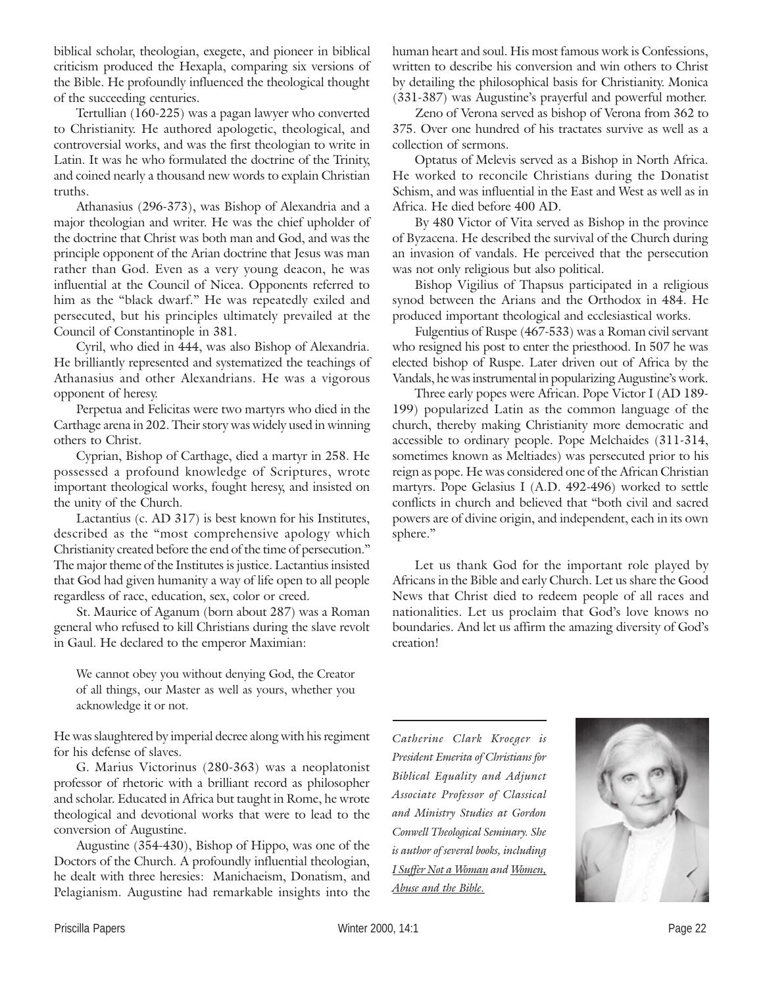biblical scholar, theologian, exegete, and pioneer in biblical criticism produced the Hexapla, comparing six versions of the Bible. He profoundly influenced the theological thought of the succeeding centuries.

Tertullian (160-225) was a pagan lawyer who converted to Christianity. He authored apologetic, theological, and controversial works, and was the first theologian to write in Latin. It was he who formulated the doctrine of the Trinity, and coined nearly a thousand new words to explain Christian truths.

Athanasius (296-373), was Bishop of Alexandria and a major theologian and writer. He was the chief upholder of the doctrine that Christ was both man and God, and was the principle opponent of the Arian doctrine that Jesus was man rather than God. Even as a very young deacon, he was influential at the Council of Nicea. Opponents referred to him as the "black dwarf." He was repeatedly exiled and persecuted, but his principles ultimately prevailed at the Council of Constantinople in 381.

Cyril, who died in 444, was also Bishop of Alexandria. He brilliantly represented and systematized the teachings of Athanasius and other Alexandrians. He was a vigorous opponent of heresy.

Perpetua and Felicitas were two martyrs who died in the Carthage arena in 202. Their story was widely used in winning others to Christ.

Cyprian, Bishop of Carthage, died a martyr in 258. He possessed a profound knowledge of Scriptures, wrote important theological works, fought heresy, and insisted on the unity of the Church.

Lactantius (c. AD 317) is best known for his Institutes, described as the "most comprehensive apology which Christianity created before the end of the time of persecution." The major theme of the Institutes is justice. Lactantius insisted that God had given humanity a way of life open to all people regardless of race, education, sex, color or creed.

St. Maurice of Aganum (born about 287) was a Roman general who refused to kill Christians during the slave revolt in Gaul. He declared to the emperor Maximian:

We cannot obey you without denying God, the Creator of all things, our Master as well as yours, whether you acknowledge it or not.

He was slaughtered by imperial decree along with his regiment for his defense of slaves.

G. Marius Victorinus (280-363) was a neoplatonist professor of rhetoric with a brilliant record as philosopher and scholar. Educated in Africa but taught in Rome, he wrote theological and devotional works that were to lead to the conversion of Augustine.

Augustine (354-430), Bishop of Hippo, was one of the Doctors of the Church. A profoundly influential theologian, he dealt with three heresies: Manichaeism, Donatism, and Pelagianism. Augustine had remarkable insights into the human heart and soul. His most famous work is Confessions, written to describe his conversion and win others to Christ by detailing the philosophical basis for Christianity. Monica (331-387) was Augustine's prayerful and powerful mother.

Zeno of Verona served as bishop of Verona from 362 to 375. Over one hundred of his tractates survive as well as a collection of sermons.

Optatus of Melevis served as a Bishop in North Africa. He worked to reconcile Christians during the Donatist Schism, and was influential in the East and West as well as in Africa. He died before 400 AD.

By 480 Victor of Vita served as Bishop in the province of Byzacena. He described the survival of the Church during an invasion of vandals. He perceived that the persecution was not only religious but also political.

Bishop Vigilius of Thapsus participated in a religious synod between the Arians and the Orthodox in 484. He produced important theological and ecclesiastical works.

Fulgentius of Ruspe (467-533) was a Roman civil servant who resigned his post to enter the priesthood. In 507 he was elected bishop of Ruspe. Later driven out of Africa by the Vandals, he was instrumental in popularizing Augustine's work.

Three early popes were African. Pope Victor I (AD 189- 199) popularized Latin as the common language of the church, thereby making Christianity more democratic and accessible to ordinary people. Pope Melchaides (311-314, sometimes known as Meltiades) was persecuted prior to his reign as pope. He was considered one of the African Christian martyrs. Pope Gelasius I (A.D. 492-496) worked to settle conflicts in church and believed that "both civil and sacred powers are of divine origin, and independent, each in its own sphere."

Let us thank God for the important role played by Africans in the Bible and early Church. Let us share the Good News that Christ died to redeem people of all races and nationalities. Let us proclaim that God's love knows no boundaries. And let us affirm the amazing diversity of God's creation!

*Catherine Clark Kroeger is President Emerita of Christians for Biblical Equality and Adjunct Associate Professor of Classical and Ministry Studies at Gordon Conwell Theological Seminary. She is author of several books, including I Suffer Not a Woman and Women, Abuse and the Bible.*

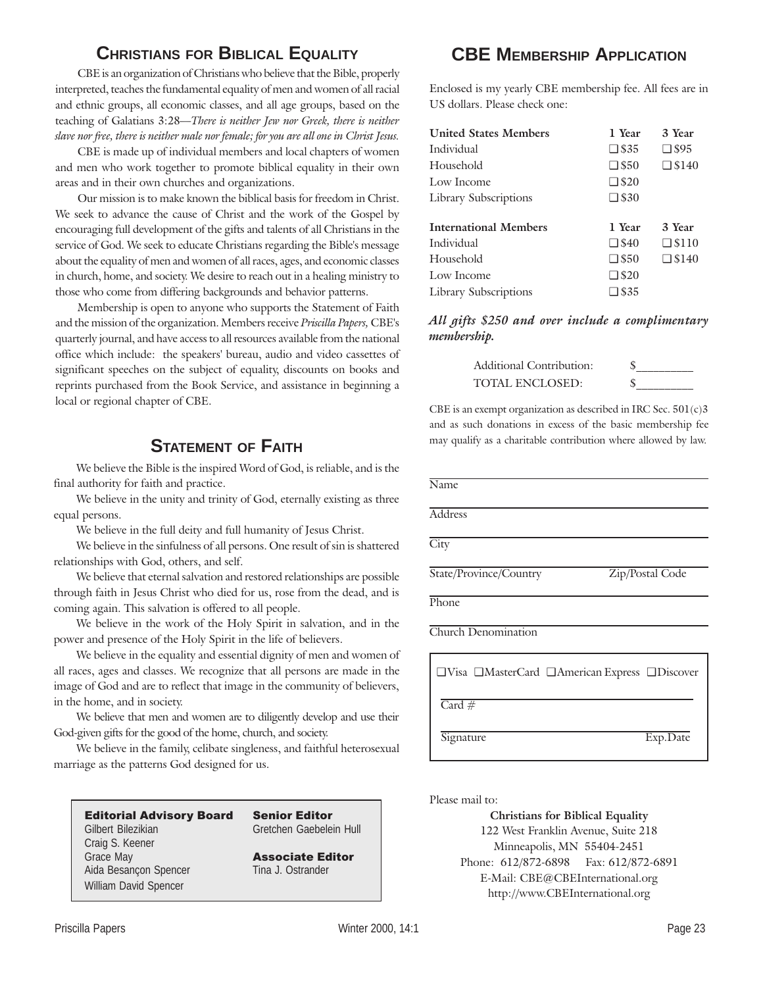### **CHRISTIANS FOR BIBLICAL EQUALITY**

CBE is an organization of Christians who believe that the Bible, properly interpreted, teaches the fundamental equality of men and women of all racial and ethnic groups, all economic classes, and all age groups, based on the teaching of Galatians 3:28—*There is neither Jew nor Greek, there is neither slave nor free, there is neither male nor female; for you are all one in Christ Jesus.*

CBE is made up of individual members and local chapters of women and men who work together to promote biblical equality in their own areas and in their own churches and organizations.

Our mission is to make known the biblical basis for freedom in Christ. We seek to advance the cause of Christ and the work of the Gospel by encouraging full development of the gifts and talents of all Christians in the service of God. We seek to educate Christians regarding the Bible's message about the equality of men and women of all races, ages, and economic classes in church, home, and society. We desire to reach out in a healing ministry to those who come from differing backgrounds and behavior patterns.

Membership is open to anyone who supports the Statement of Faith and the mission of the organization. Members receive *Priscilla Papers,* CBE's quarterly journal, and have access to all resources available from the national office which include: the speakers' bureau, audio and video cassettes of significant speeches on the subject of equality, discounts on books and reprints purchased from the Book Service, and assistance in beginning a local or regional chapter of CBE.

### **STATEMENT OF FAITH**

We believe the Bible is the inspired Word of God, is reliable, and is the final authority for faith and practice.

We believe in the unity and trinity of God, eternally existing as three equal persons.

We believe in the full deity and full humanity of Jesus Christ.

We believe in the sinfulness of all persons. One result of sin is shattered relationships with God, others, and self.

We believe that eternal salvation and restored relationships are possible through faith in Jesus Christ who died for us, rose from the dead, and is coming again. This salvation is offered to all people.

We believe in the work of the Holy Spirit in salvation, and in the power and presence of the Holy Spirit in the life of believers.

We believe in the equality and essential dignity of men and women of all races, ages and classes. We recognize that all persons are made in the image of God and are to reflect that image in the community of believers, in the home, and in society.

We believe that men and women are to diligently develop and use their God-given gifts for the good of the home, church, and society.

We believe in the family, celibate singleness, and faithful heterosexual marriage as the patterns God designed for us.

#### Editorial Advisory Board Senior Editor

Craig S. Keener Grace May **Associate Editor** Aida Besançon Spencer Tina J. Ostrander William David Spencer

Gilbert Bilezikian Gretchen Gaebelein Hull

### **CBE MEMBERSHIP APPLICATION**

Enclosed is my yearly CBE membership fee. All fees are in US dollars. Please check one:

| <b>United States Members</b> | 1 Year         | 3 Year          |
|------------------------------|----------------|-----------------|
| Individual                   | $\square$ \$35 | $\square$ \$95  |
| Household                    | $\square$ \$50 | $\square$ \$140 |
| Low Income                   | $\square$ \$20 |                 |
| Library Subscriptions        | $\square$ \$30 |                 |
|                              |                |                 |
|                              |                |                 |
| <b>International Members</b> | 1 Year         | 3 Year          |
| Individual                   | $\square$ \$40 | $\square$ \$110 |
| Household                    | $\square$ \$50 | $\square$ \$140 |
| Low Income                   | $\square$ \$20 |                 |

*All gifts \$250 and over include a complimentary membership.*

| Additional Contribution: |  |
|--------------------------|--|
| TOTAL ENCLOSED:          |  |

CBE is an exempt organization as described in IRC Sec.  $501(c)3$ and as such donations in excess of the basic membership fee may qualify as a charitable contribution where allowed by law.

| $\overline{\text{Name}}$                          |                 |
|---------------------------------------------------|-----------------|
| <b>Address</b>                                    |                 |
| City                                              |                 |
| State/Province/Country                            | Zip/Postal Code |
| Phone                                             |                 |
| <b>Church Denomination</b>                        |                 |
| J Visa □ MasterCard □ American Express □ Discover |                 |
| Card $#$                                          |                 |
| Signature                                         | Exp.Date        |
|                                                   |                 |

Please mail to:

**Christians for Biblical Equality** 122 West Franklin Avenue, Suite 218 Minneapolis, MN 55404-2451 Phone: 612/872-6898 Fax: 612/872-6891 E-Mail: CBE@CBEInternational.org http://www.CBEInternational.org